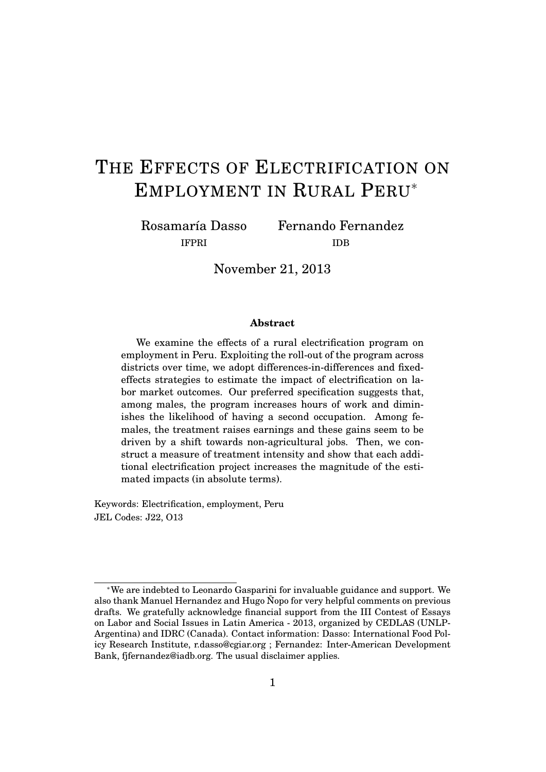# THE EFFECTS OF ELECTRIFICATION ON EMPLOYMENT IN RURAL PERU<sup>∗</sup>

Rosamaría Dasso IFPRI

Fernando Fernandez IDB

November 21, 2013

#### **Abstract**

We examine the effects of a rural electrification program on employment in Peru. Exploiting the roll-out of the program across districts over time, we adopt differences-in-differences and fixedeffects strategies to estimate the impact of electrification on labor market outcomes. Our preferred specification suggests that, among males, the program increases hours of work and diminishes the likelihood of having a second occupation. Among females, the treatment raises earnings and these gains seem to be driven by a shift towards non-agricultural jobs. Then, we construct a measure of treatment intensity and show that each additional electrification project increases the magnitude of the estimated impacts (in absolute terms).

Keywords: Electrification, employment, Peru JEL Codes: J22, O13

<sup>∗</sup>We are indebted to Leonardo Gasparini for invaluable guidance and support. We also thank Manuel Hernandez and Hugo Ñopo for very helpful comments on previous drafts. We gratefully acknowledge financial support from the III Contest of Essays on Labor and Social Issues in Latin America - 2013, organized by CEDLAS (UNLP-Argentina) and IDRC (Canada). Contact information: Dasso: International Food Policy Research Institute, r.dasso@cgiar.org ; Fernandez: Inter-American Development Bank, fjfernandez@iadb.org. The usual disclaimer applies.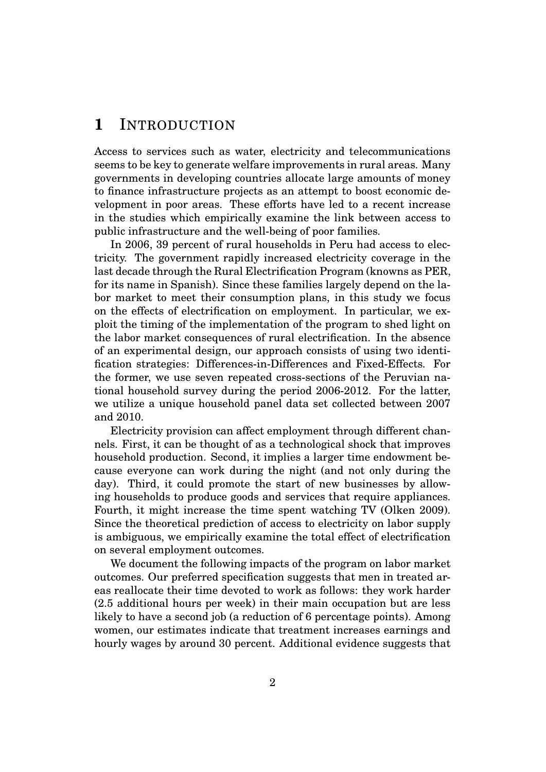# **1** INTRODUCTION

Access to services such as water, electricity and telecommunications seems to be key to generate welfare improvements in rural areas. Many governments in developing countries allocate large amounts of money to finance infrastructure projects as an attempt to boost economic development in poor areas. These efforts have led to a recent increase in the studies which empirically examine the link between access to public infrastructure and the well-being of poor families.

In 2006, 39 percent of rural households in Peru had access to electricity. The government rapidly increased electricity coverage in the last decade through the Rural Electrification Program (knowns as PER, for its name in Spanish). Since these families largely depend on the labor market to meet their consumption plans, in this study we focus on the effects of electrification on employment. In particular, we exploit the timing of the implementation of the program to shed light on the labor market consequences of rural electrification. In the absence of an experimental design, our approach consists of using two identification strategies: Differences-in-Differences and Fixed-Effects. For the former, we use seven repeated cross-sections of the Peruvian national household survey during the period 2006-2012. For the latter, we utilize a unique household panel data set collected between 2007 and 2010.

Electricity provision can affect employment through different channels. First, it can be thought of as a technological shock that improves household production. Second, it implies a larger time endowment because everyone can work during the night (and not only during the day). Third, it could promote the start of new businesses by allowing households to produce goods and services that require appliances. Fourth, it might increase the time spent watching TV (Olken 2009). Since the theoretical prediction of access to electricity on labor supply is ambiguous, we empirically examine the total effect of electrification on several employment outcomes.

We document the following impacts of the program on labor market outcomes. Our preferred specification suggests that men in treated areas reallocate their time devoted to work as follows: they work harder (2.5 additional hours per week) in their main occupation but are less likely to have a second job (a reduction of 6 percentage points). Among women, our estimates indicate that treatment increases earnings and hourly wages by around 30 percent. Additional evidence suggests that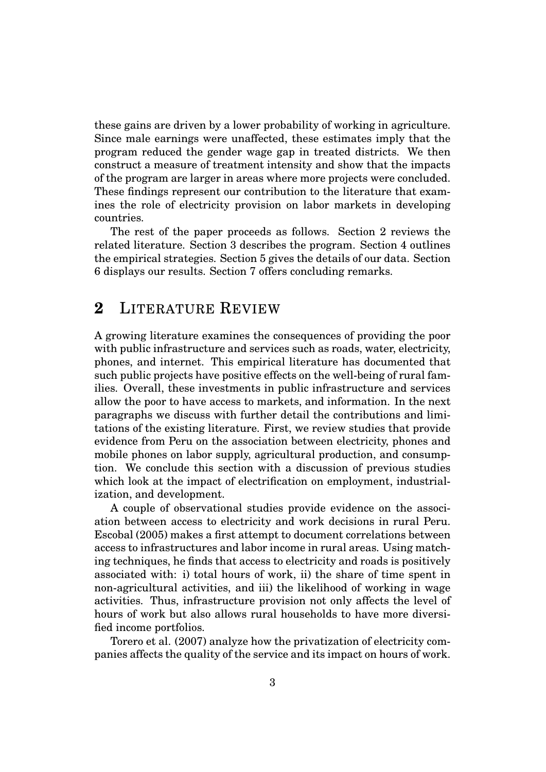these gains are driven by a lower probability of working in agriculture. Since male earnings were unaffected, these estimates imply that the program reduced the gender wage gap in treated districts. We then construct a measure of treatment intensity and show that the impacts of the program are larger in areas where more projects were concluded. These findings represent our contribution to the literature that examines the role of electricity provision on labor markets in developing countries.

The rest of the paper proceeds as follows. Section 2 reviews the related literature. Section 3 describes the program. Section 4 outlines the empirical strategies. Section 5 gives the details of our data. Section 6 displays our results. Section 7 offers concluding remarks.

### **2** LITERATURE REVIEW

A growing literature examines the consequences of providing the poor with public infrastructure and services such as roads, water, electricity, phones, and internet. This empirical literature has documented that such public projects have positive effects on the well-being of rural families. Overall, these investments in public infrastructure and services allow the poor to have access to markets, and information. In the next paragraphs we discuss with further detail the contributions and limitations of the existing literature. First, we review studies that provide evidence from Peru on the association between electricity, phones and mobile phones on labor supply, agricultural production, and consumption. We conclude this section with a discussion of previous studies which look at the impact of electrification on employment, industrialization, and development.

A couple of observational studies provide evidence on the association between access to electricity and work decisions in rural Peru. Escobal (2005) makes a first attempt to document correlations between access to infrastructures and labor income in rural areas. Using matching techniques, he finds that access to electricity and roads is positively associated with: i) total hours of work, ii) the share of time spent in non-agricultural activities, and iii) the likelihood of working in wage activities. Thus, infrastructure provision not only affects the level of hours of work but also allows rural households to have more diversified income portfolios.

Torero et al. (2007) analyze how the privatization of electricity companies affects the quality of the service and its impact on hours of work.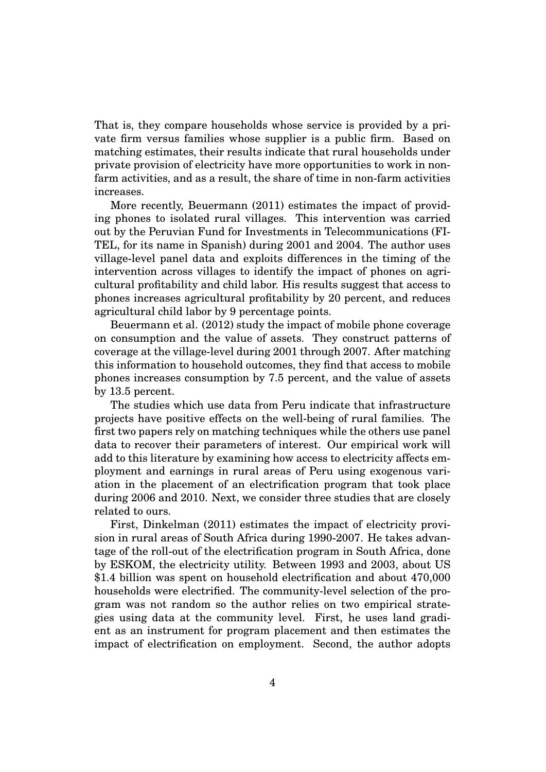That is, they compare households whose service is provided by a private firm versus families whose supplier is a public firm. Based on matching estimates, their results indicate that rural households under private provision of electricity have more opportunities to work in nonfarm activities, and as a result, the share of time in non-farm activities increases.

More recently, Beuermann (2011) estimates the impact of providing phones to isolated rural villages. This intervention was carried out by the Peruvian Fund for Investments in Telecommunications (FI-TEL, for its name in Spanish) during 2001 and 2004. The author uses village-level panel data and exploits differences in the timing of the intervention across villages to identify the impact of phones on agricultural profitability and child labor. His results suggest that access to phones increases agricultural profitability by 20 percent, and reduces agricultural child labor by 9 percentage points.

Beuermann et al. (2012) study the impact of mobile phone coverage on consumption and the value of assets. They construct patterns of coverage at the village-level during 2001 through 2007. After matching this information to household outcomes, they find that access to mobile phones increases consumption by 7.5 percent, and the value of assets by 13.5 percent.

The studies which use data from Peru indicate that infrastructure projects have positive effects on the well-being of rural families. The first two papers rely on matching techniques while the others use panel data to recover their parameters of interest. Our empirical work will add to this literature by examining how access to electricity affects employment and earnings in rural areas of Peru using exogenous variation in the placement of an electrification program that took place during 2006 and 2010. Next, we consider three studies that are closely related to ours.

First, Dinkelman (2011) estimates the impact of electricity provision in rural areas of South Africa during 1990-2007. He takes advantage of the roll-out of the electrification program in South Africa, done by ESKOM, the electricity utility. Between 1993 and 2003, about US \$1.4 billion was spent on household electrification and about 470,000 households were electrified. The community-level selection of the program was not random so the author relies on two empirical strategies using data at the community level. First, he uses land gradient as an instrument for program placement and then estimates the impact of electrification on employment. Second, the author adopts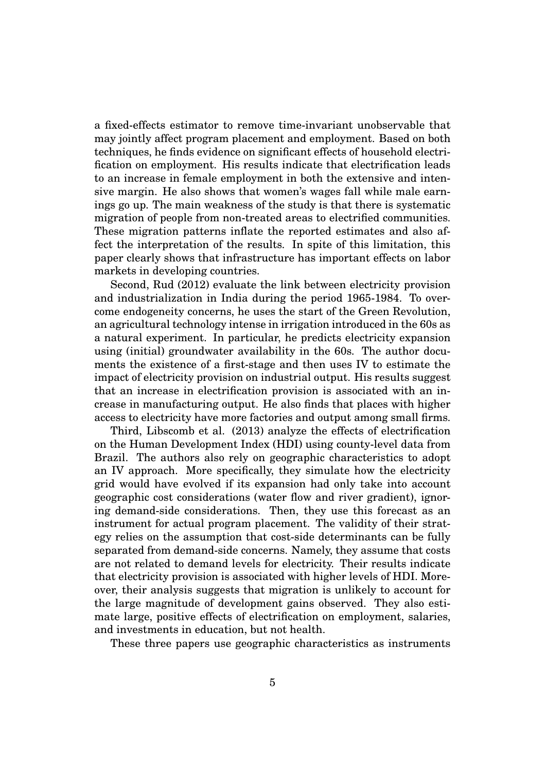a fixed-effects estimator to remove time-invariant unobservable that may jointly affect program placement and employment. Based on both techniques, he finds evidence on significant effects of household electrification on employment. His results indicate that electrification leads to an increase in female employment in both the extensive and intensive margin. He also shows that women's wages fall while male earnings go up. The main weakness of the study is that there is systematic migration of people from non-treated areas to electrified communities. These migration patterns inflate the reported estimates and also affect the interpretation of the results. In spite of this limitation, this paper clearly shows that infrastructure has important effects on labor markets in developing countries.

Second, Rud (2012) evaluate the link between electricity provision and industrialization in India during the period 1965-1984. To overcome endogeneity concerns, he uses the start of the Green Revolution, an agricultural technology intense in irrigation introduced in the 60s as a natural experiment. In particular, he predicts electricity expansion using (initial) groundwater availability in the 60s. The author documents the existence of a first-stage and then uses IV to estimate the impact of electricity provision on industrial output. His results suggest that an increase in electrification provision is associated with an increase in manufacturing output. He also finds that places with higher access to electricity have more factories and output among small firms.

Third, Libscomb et al. (2013) analyze the effects of electrification on the Human Development Index (HDI) using county-level data from Brazil. The authors also rely on geographic characteristics to adopt an IV approach. More specifically, they simulate how the electricity grid would have evolved if its expansion had only take into account geographic cost considerations (water flow and river gradient), ignoring demand-side considerations. Then, they use this forecast as an instrument for actual program placement. The validity of their strategy relies on the assumption that cost-side determinants can be fully separated from demand-side concerns. Namely, they assume that costs are not related to demand levels for electricity. Their results indicate that electricity provision is associated with higher levels of HDI. Moreover, their analysis suggests that migration is unlikely to account for the large magnitude of development gains observed. They also estimate large, positive effects of electrification on employment, salaries, and investments in education, but not health.

These three papers use geographic characteristics as instruments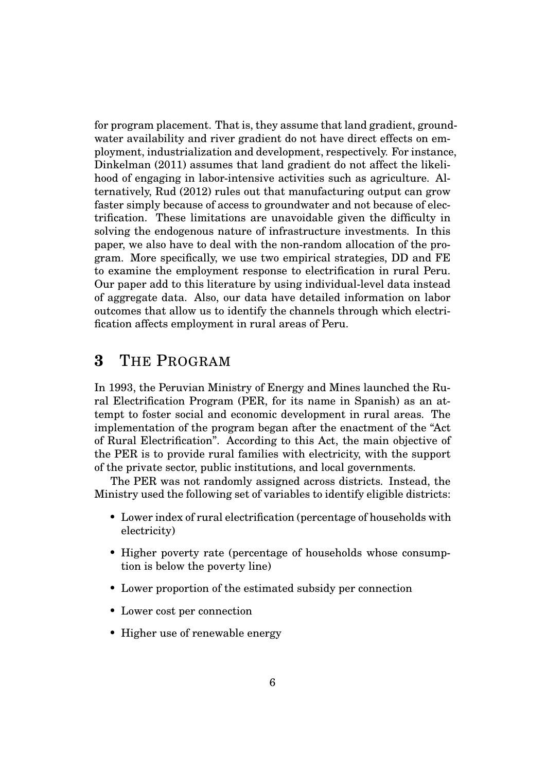for program placement. That is, they assume that land gradient, groundwater availability and river gradient do not have direct effects on employment, industrialization and development, respectively. For instance, Dinkelman (2011) assumes that land gradient do not affect the likelihood of engaging in labor-intensive activities such as agriculture. Alternatively, Rud (2012) rules out that manufacturing output can grow faster simply because of access to groundwater and not because of electrification. These limitations are unavoidable given the difficulty in solving the endogenous nature of infrastructure investments. In this paper, we also have to deal with the non-random allocation of the program. More specifically, we use two empirical strategies, DD and FE to examine the employment response to electrification in rural Peru. Our paper add to this literature by using individual-level data instead of aggregate data. Also, our data have detailed information on labor outcomes that allow us to identify the channels through which electrification affects employment in rural areas of Peru.

# **3** THE PROGRAM

In 1993, the Peruvian Ministry of Energy and Mines launched the Rural Electrification Program (PER, for its name in Spanish) as an attempt to foster social and economic development in rural areas. The implementation of the program began after the enactment of the "Act of Rural Electrification". According to this Act, the main objective of the PER is to provide rural families with electricity, with the support of the private sector, public institutions, and local governments.

The PER was not randomly assigned across districts. Instead, the Ministry used the following set of variables to identify eligible districts:

- Lower index of rural electrification (percentage of households with electricity)
- Higher poverty rate (percentage of households whose consumption is below the poverty line)
- Lower proportion of the estimated subsidy per connection
- Lower cost per connection
- Higher use of renewable energy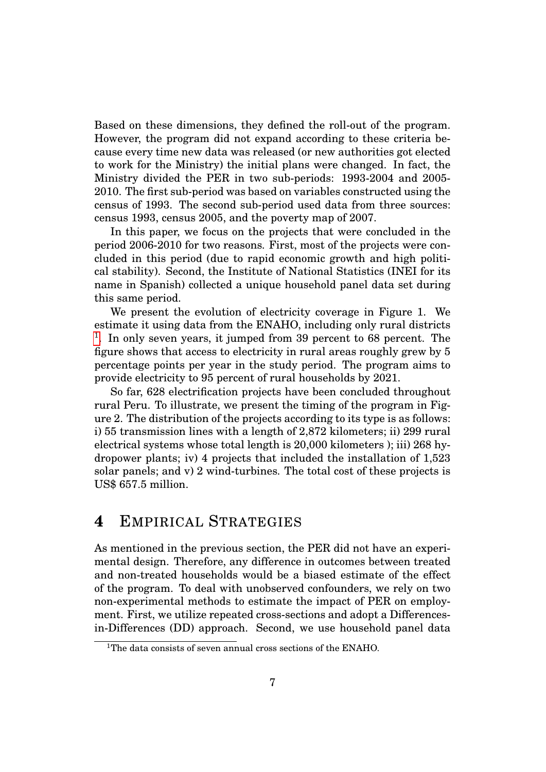Based on these dimensions, they defined the roll-out of the program. However, the program did not expand according to these criteria because every time new data was released (or new authorities got elected to work for the Ministry) the initial plans were changed. In fact, the Ministry divided the PER in two sub-periods: 1993-2004 and 2005- 2010. The first sub-period was based on variables constructed using the census of 1993. The second sub-period used data from three sources: census 1993, census 2005, and the poverty map of 2007.

In this paper, we focus on the projects that were concluded in the period 2006-2010 for two reasons. First, most of the projects were concluded in this period (due to rapid economic growth and high political stability). Second, the Institute of National Statistics (INEI for its name in Spanish) collected a unique household panel data set during this same period.

We present the evolution of electricity coverage in Figure 1. We estimate it using data from the ENAHO, including only rural districts <sup>[1](#page-6-0)</sup>. In only seven years, it jumped from 39 percent to 68 percent. The figure shows that access to electricity in rural areas roughly grew by 5 percentage points per year in the study period. The program aims to provide electricity to 95 percent of rural households by 2021.

So far, 628 electrification projects have been concluded throughout rural Peru. To illustrate, we present the timing of the program in Figure 2. The distribution of the projects according to its type is as follows: i) 55 transmission lines with a length of 2,872 kilometers; ii) 299 rural electrical systems whose total length is 20,000 kilometers ); iii) 268 hydropower plants; iv) 4 projects that included the installation of 1,523 solar panels; and v) 2 wind-turbines. The total cost of these projects is US\$ 657.5 million.

# **4** EMPIRICAL STRATEGIES

As mentioned in the previous section, the PER did not have an experimental design. Therefore, any difference in outcomes between treated and non-treated households would be a biased estimate of the effect of the program. To deal with unobserved confounders, we rely on two non-experimental methods to estimate the impact of PER on employment. First, we utilize repeated cross-sections and adopt a Differencesin-Differences (DD) approach. Second, we use household panel data

<span id="page-6-0"></span><sup>&</sup>lt;sup>1</sup>The data consists of seven annual cross sections of the ENAHO.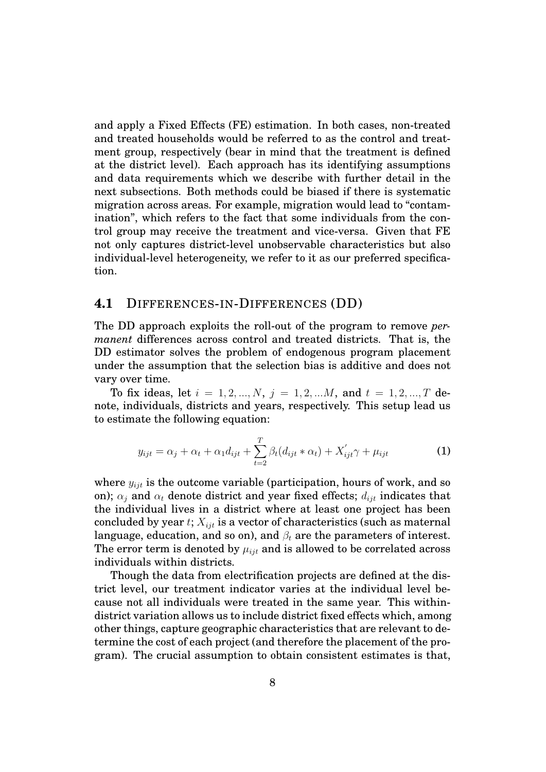and apply a Fixed Effects (FE) estimation. In both cases, non-treated and treated households would be referred to as the control and treatment group, respectively (bear in mind that the treatment is defined at the district level). Each approach has its identifying assumptions and data requirements which we describe with further detail in the next subsections. Both methods could be biased if there is systematic migration across areas. For example, migration would lead to "contamination", which refers to the fact that some individuals from the control group may receive the treatment and vice-versa. Given that FE not only captures district-level unobservable characteristics but also individual-level heterogeneity, we refer to it as our preferred specification.

#### **4.1** DIFFERENCES-IN-DIFFERENCES (DD)

The DD approach exploits the roll-out of the program to remove *permanent* differences across control and treated districts. That is, the DD estimator solves the problem of endogenous program placement under the assumption that the selection bias is additive and does not vary over time.

To fix ideas, let  $i = 1, 2, ..., N$ ,  $j = 1, 2, ...M$ , and  $t = 1, 2, ..., T$  denote, individuals, districts and years, respectively. This setup lead us to estimate the following equation:

$$
y_{ijt} = \alpha_j + \alpha_t + \alpha_1 d_{ijt} + \sum_{t=2}^{T} \beta_t (d_{ijt} * \alpha_t) + X'_{ijt} \gamma + \mu_{ijt}
$$
 (1)

where  $y_{ijt}$  is the outcome variable (participation, hours of work, and so on);  $\alpha_i$  and  $\alpha_t$  denote district and year fixed effects;  $d_{ijt}$  indicates that the individual lives in a district where at least one project has been concluded by year  $t$ ;  $X_{i}$  is a vector of characteristics (such as maternal language, education, and so on), and  $\beta_t$  are the parameters of interest. The error term is denoted by  $\mu_{iit}$  and is allowed to be correlated across individuals within districts.

Though the data from electrification projects are defined at the district level, our treatment indicator varies at the individual level because not all individuals were treated in the same year. This withindistrict variation allows us to include district fixed effects which, among other things, capture geographic characteristics that are relevant to determine the cost of each project (and therefore the placement of the program). The crucial assumption to obtain consistent estimates is that,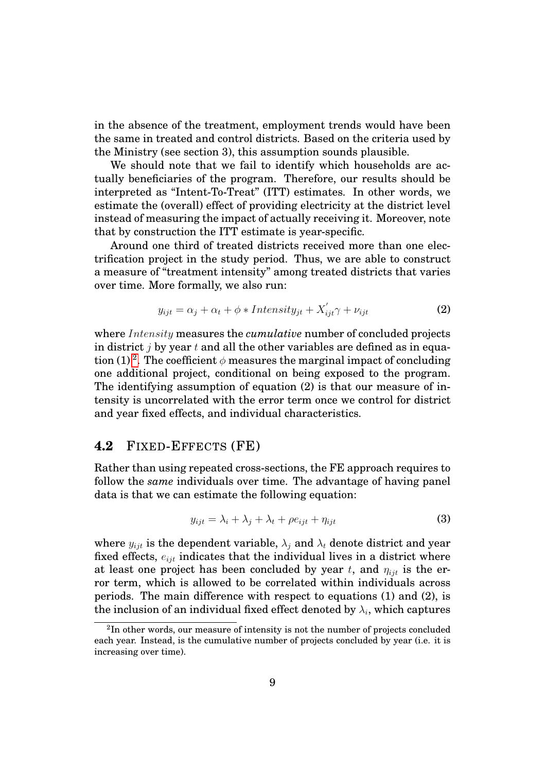in the absence of the treatment, employment trends would have been the same in treated and control districts. Based on the criteria used by the Ministry (see section 3), this assumption sounds plausible.

We should note that we fail to identify which households are actually beneficiaries of the program. Therefore, our results should be interpreted as "Intent-To-Treat" (ITT) estimates. In other words, we estimate the (overall) effect of providing electricity at the district level instead of measuring the impact of actually receiving it. Moreover, note that by construction the ITT estimate is year-specific.

Around one third of treated districts received more than one electrification project in the study period. Thus, we are able to construct a measure of "treatment intensity" among treated districts that varies over time. More formally, we also run:

$$
y_{ijt} = \alpha_j + \alpha_t + \phi * Intensity_{jt} + X'_{ijt}\gamma + \nu_{ijt}
$$
 (2)

where *Intensity* measures the *cumulative* number of concluded projects in district *j* by year *t* and all the other variables are defined as in equa-tion (1) <sup>[2](#page-8-0)</sup>. The coefficient  $\phi$  measures the marginal impact of concluding one additional project, conditional on being exposed to the program. The identifying assumption of equation (2) is that our measure of intensity is uncorrelated with the error term once we control for district and year fixed effects, and individual characteristics.

### **4.2** FIXED-EFFECTS (FE)

Rather than using repeated cross-sections, the FE approach requires to follow the *same* individuals over time. The advantage of having panel data is that we can estimate the following equation:

$$
y_{ijt} = \lambda_i + \lambda_j + \lambda_t + \rho e_{ijt} + \eta_{ijt}
$$
\n(3)

where  $y_{ijt}$  is the dependent variable,  $\lambda_j$  and  $\lambda_t$  denote district and year fixed effects,  $e_{iit}$  indicates that the individual lives in a district where at least one project has been concluded by year  $t$ , and  $\eta_{i}$  is the error term, which is allowed to be correlated within individuals across periods. The main difference with respect to equations (1) and (2), is the inclusion of an individual fixed effect denoted by  $\lambda_i$ , which captures

<span id="page-8-0"></span> $^{2}$ In other words, our measure of intensity is not the number of projects concluded each year. Instead, is the cumulative number of projects concluded by year (i.e. it is increasing over time).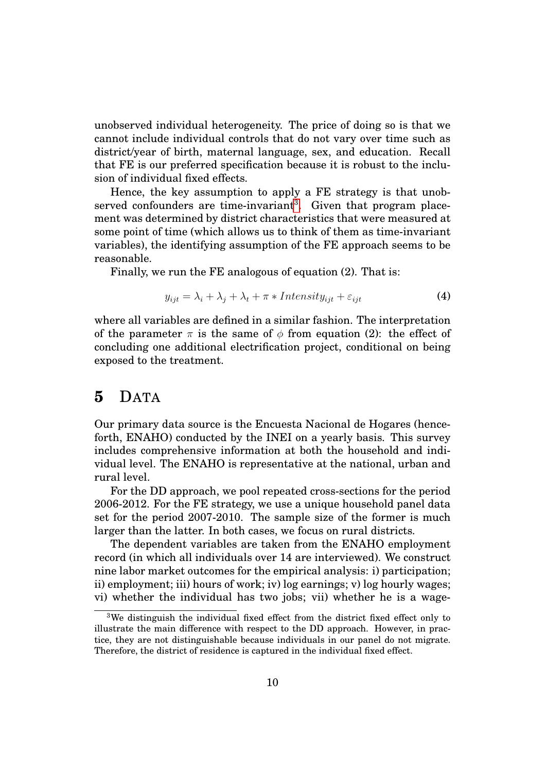unobserved individual heterogeneity. The price of doing so is that we cannot include individual controls that do not vary over time such as district/year of birth, maternal language, sex, and education. Recall that FE is our preferred specification because it is robust to the inclusion of individual fixed effects.

Hence, the key assumption to apply a FE strategy is that unob-served confounders are time-invariant<sup>[3](#page-9-0)</sup>. Given that program placement was determined by district characteristics that were measured at some point of time (which allows us to think of them as time-invariant variables), the identifying assumption of the FE approach seems to be reasonable.

Finally, we run the FE analogous of equation (2). That is:

$$
y_{ijt} = \lambda_i + \lambda_j + \lambda_t + \pi * Intensity_{ijt} + \varepsilon_{ijt}
$$
\n(4)

where all variables are defined in a similar fashion. The interpretation of the parameter  $\pi$  is the same of  $\phi$  from equation (2): the effect of concluding one additional electrification project, conditional on being exposed to the treatment.

### **5** DATA

Our primary data source is the Encuesta Nacional de Hogares (henceforth, ENAHO) conducted by the INEI on a yearly basis. This survey includes comprehensive information at both the household and individual level. The ENAHO is representative at the national, urban and rural level.

For the DD approach, we pool repeated cross-sections for the period 2006-2012. For the FE strategy, we use a unique household panel data set for the period 2007-2010. The sample size of the former is much larger than the latter. In both cases, we focus on rural districts.

The dependent variables are taken from the ENAHO employment record (in which all individuals over 14 are interviewed). We construct nine labor market outcomes for the empirical analysis: i) participation; ii) employment; iii) hours of work; iv) log earnings; v) log hourly wages; vi) whether the individual has two jobs; vii) whether he is a wage-

<span id="page-9-0"></span><sup>3</sup>We distinguish the individual fixed effect from the district fixed effect only to illustrate the main difference with respect to the DD approach. However, in practice, they are not distinguishable because individuals in our panel do not migrate. Therefore, the district of residence is captured in the individual fixed effect.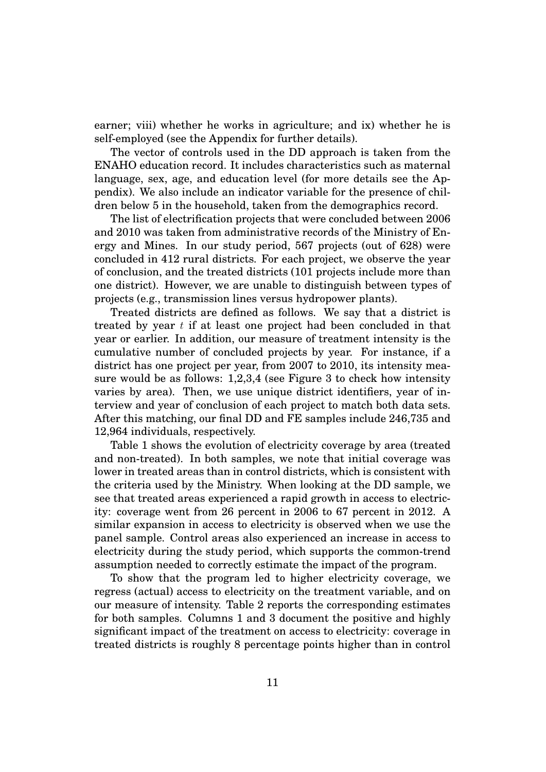earner; viii) whether he works in agriculture; and ix) whether he is self-employed (see the Appendix for further details).

The vector of controls used in the DD approach is taken from the ENAHO education record. It includes characteristics such as maternal language, sex, age, and education level (for more details see the Appendix). We also include an indicator variable for the presence of children below 5 in the household, taken from the demographics record.

The list of electrification projects that were concluded between 2006 and 2010 was taken from administrative records of the Ministry of Energy and Mines. In our study period, 567 projects (out of 628) were concluded in 412 rural districts. For each project, we observe the year of conclusion, and the treated districts (101 projects include more than one district). However, we are unable to distinguish between types of projects (e.g., transmission lines versus hydropower plants).

Treated districts are defined as follows. We say that a district is treated by year *t* if at least one project had been concluded in that year or earlier. In addition, our measure of treatment intensity is the cumulative number of concluded projects by year. For instance, if a district has one project per year, from 2007 to 2010, its intensity measure would be as follows: 1,2,3,4 (see Figure 3 to check how intensity varies by area). Then, we use unique district identifiers, year of interview and year of conclusion of each project to match both data sets. After this matching, our final DD and FE samples include 246,735 and 12,964 individuals, respectively.

Table 1 shows the evolution of electricity coverage by area (treated and non-treated). In both samples, we note that initial coverage was lower in treated areas than in control districts, which is consistent with the criteria used by the Ministry. When looking at the DD sample, we see that treated areas experienced a rapid growth in access to electricity: coverage went from 26 percent in 2006 to 67 percent in 2012. A similar expansion in access to electricity is observed when we use the panel sample. Control areas also experienced an increase in access to electricity during the study period, which supports the common-trend assumption needed to correctly estimate the impact of the program.

To show that the program led to higher electricity coverage, we regress (actual) access to electricity on the treatment variable, and on our measure of intensity. Table 2 reports the corresponding estimates for both samples. Columns 1 and 3 document the positive and highly significant impact of the treatment on access to electricity: coverage in treated districts is roughly 8 percentage points higher than in control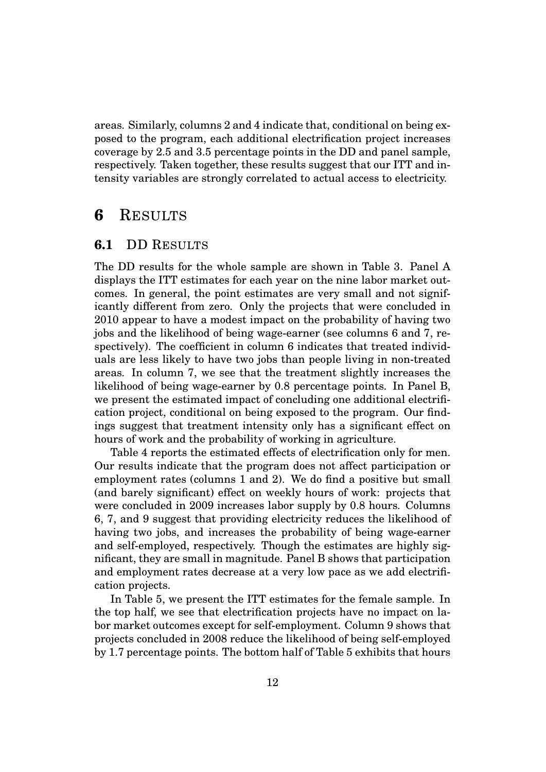areas. Similarly, columns 2 and 4 indicate that, conditional on being exposed to the program, each additional electrification project increases coverage by 2.5 and 3.5 percentage points in the DD and panel sample, respectively. Taken together, these results suggest that our ITT and intensity variables are strongly correlated to actual access to electricity.

### **6** RESULTS

### **6.1** DD RESULTS

The DD results for the whole sample are shown in Table 3. Panel A displays the ITT estimates for each year on the nine labor market outcomes. In general, the point estimates are very small and not significantly different from zero. Only the projects that were concluded in 2010 appear to have a modest impact on the probability of having two jobs and the likelihood of being wage-earner (see columns 6 and 7, respectively). The coefficient in column 6 indicates that treated individuals are less likely to have two jobs than people living in non-treated areas. In column 7, we see that the treatment slightly increases the likelihood of being wage-earner by 0.8 percentage points. In Panel B, we present the estimated impact of concluding one additional electrification project, conditional on being exposed to the program. Our findings suggest that treatment intensity only has a significant effect on hours of work and the probability of working in agriculture.

Table 4 reports the estimated effects of electrification only for men. Our results indicate that the program does not affect participation or employment rates (columns 1 and 2). We do find a positive but small (and barely significant) effect on weekly hours of work: projects that were concluded in 2009 increases labor supply by 0.8 hours. Columns 6, 7, and 9 suggest that providing electricity reduces the likelihood of having two jobs, and increases the probability of being wage-earner and self-employed, respectively. Though the estimates are highly significant, they are small in magnitude. Panel B shows that participation and employment rates decrease at a very low pace as we add electrification projects.

In Table 5, we present the ITT estimates for the female sample. In the top half, we see that electrification projects have no impact on labor market outcomes except for self-employment. Column 9 shows that projects concluded in 2008 reduce the likelihood of being self-employed by 1.7 percentage points. The bottom half of Table 5 exhibits that hours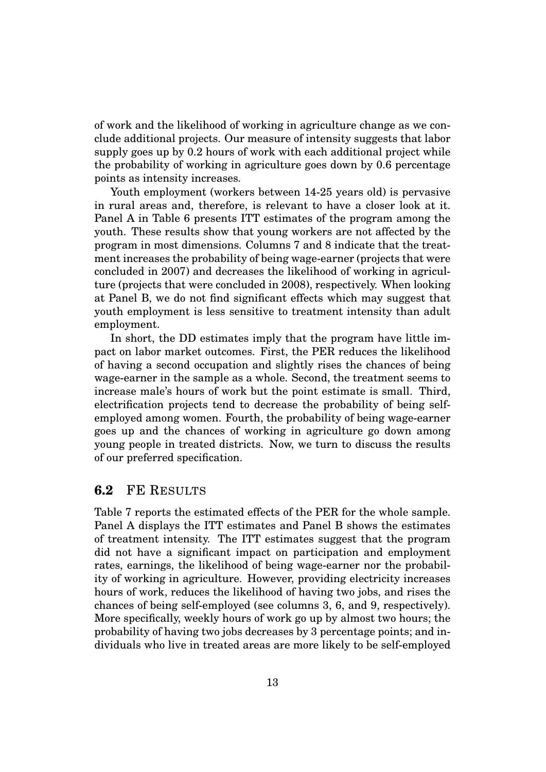of work and the likelihood of working in agriculture change as we conclude additional projects. Our measure of intensity suggests that labor supply goes up by 0.2 hours of work with each additional project while the probability of working in agriculture goes down by 0.6 percentage points as intensity increases.

Youth employment (workers between 14-25 years old) is pervasive in rural areas and, therefore, is relevant to have a closer look at it. Panel A in Table 6 presents ITT estimates of the program among the youth. These results show that young workers are not affected by the program in most dimensions. Columns 7 and 8 indicate that the treatment increases the probability of being wage-earner (projects that were concluded in 2007) and decreases the likelihood of working in agriculture (projects that were concluded in 2008), respectively. When looking at Panel B, we do not find significant effects which may suggest that youth employment is less sensitive to treatment intensity than adult employment.

In short, the DD estimates imply that the program have little impact on labor market outcomes. First, the PER reduces the likelihood of having a second occupation and slightly rises the chances of being wage-earner in the sample as a whole. Second, the treatment seems to increase male's hours of work but the point estimate is small. Third, electrification projects tend to decrease the probability of being selfemployed among women. Fourth, the probability of being wage-earner goes up and the chances of working in agriculture go down among young people in treated districts. Now, we turn to discuss the results of our preferred specification.

### **6.2** FE RESULTS

Table 7 reports the estimated effects of the PER for the whole sample. Panel A displays the ITT estimates and Panel B shows the estimates of treatment intensity. The ITT estimates suggest that the program did not have a significant impact on participation and employment rates, earnings, the likelihood of being wage-earner nor the probability of working in agriculture. However, providing electricity increases hours of work, reduces the likelihood of having two jobs, and rises the chances of being self-employed (see columns 3, 6, and 9, respectively). More specifically, weekly hours of work go up by almost two hours; the probability of having two jobs decreases by 3 percentage points; and individuals who live in treated areas are more likely to be self-employed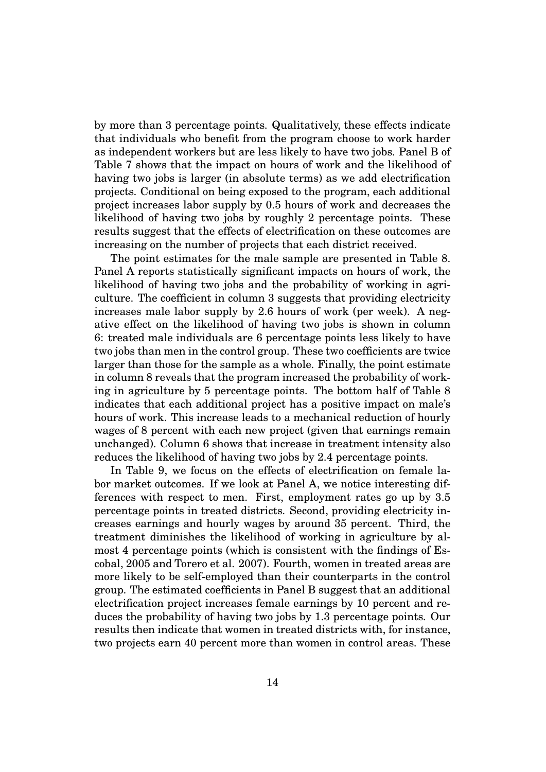by more than 3 percentage points. Qualitatively, these effects indicate that individuals who benefit from the program choose to work harder as independent workers but are less likely to have two jobs. Panel B of Table 7 shows that the impact on hours of work and the likelihood of having two jobs is larger (in absolute terms) as we add electrification projects. Conditional on being exposed to the program, each additional project increases labor supply by 0.5 hours of work and decreases the likelihood of having two jobs by roughly 2 percentage points. These results suggest that the effects of electrification on these outcomes are increasing on the number of projects that each district received.

The point estimates for the male sample are presented in Table 8. Panel A reports statistically significant impacts on hours of work, the likelihood of having two jobs and the probability of working in agriculture. The coefficient in column 3 suggests that providing electricity increases male labor supply by 2.6 hours of work (per week). A negative effect on the likelihood of having two jobs is shown in column 6: treated male individuals are 6 percentage points less likely to have two jobs than men in the control group. These two coefficients are twice larger than those for the sample as a whole. Finally, the point estimate in column 8 reveals that the program increased the probability of working in agriculture by 5 percentage points. The bottom half of Table 8 indicates that each additional project has a positive impact on male's hours of work. This increase leads to a mechanical reduction of hourly wages of 8 percent with each new project (given that earnings remain unchanged). Column 6 shows that increase in treatment intensity also reduces the likelihood of having two jobs by 2.4 percentage points.

In Table 9, we focus on the effects of electrification on female labor market outcomes. If we look at Panel A, we notice interesting differences with respect to men. First, employment rates go up by 3.5 percentage points in treated districts. Second, providing electricity increases earnings and hourly wages by around 35 percent. Third, the treatment diminishes the likelihood of working in agriculture by almost 4 percentage points (which is consistent with the findings of Escobal, 2005 and Torero et al. 2007). Fourth, women in treated areas are more likely to be self-employed than their counterparts in the control group. The estimated coefficients in Panel B suggest that an additional electrification project increases female earnings by 10 percent and reduces the probability of having two jobs by 1.3 percentage points. Our results then indicate that women in treated districts with, for instance, two projects earn 40 percent more than women in control areas. These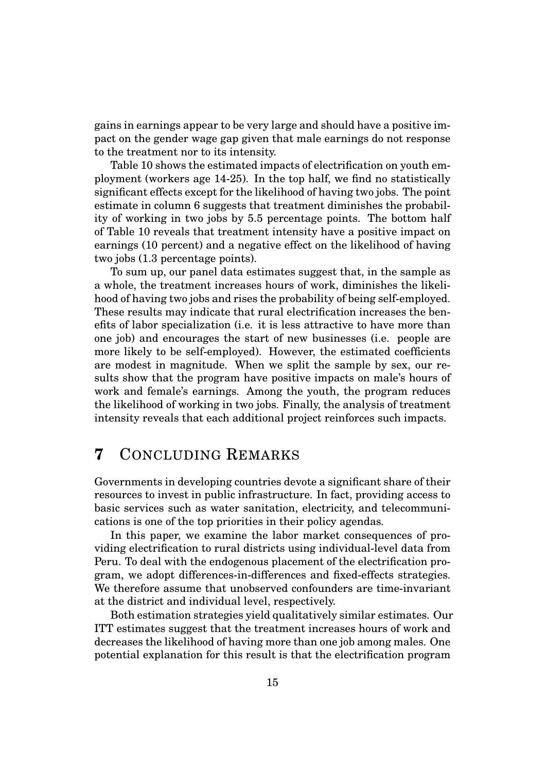gains in earnings appear to be very large and should have a positive impact on the gender wage gap given that male earnings do not response to the treatment nor to its intensity.

Table 10 shows the estimated impacts of electrification on youth employment (workers age 14-25). In the top half, we find no statistically significant effects except for the likelihood of having two jobs. The point estimate in column 6 suggests that treatment diminishes the probability of working in two jobs by 5.5 percentage points. The bottom half of Table 10 reveals that treatment intensity have a positive impact on earnings (10 percent) and a negative effect on the likelihood of having two jobs (1.3 percentage points).

To sum up, our panel data estimates suggest that, in the sample as a whole, the treatment increases hours of work, diminishes the likelihood of having two jobs and rises the probability of being self-employed. These results may indicate that rural electrification increases the benefits of labor specialization (i.e. it is less attractive to have more than one job) and encourages the start of new businesses (i.e. people are more likely to be self-employed). However, the estimated coefficients are modest in magnitude. When we split the sample by sex, our results show that the program have positive impacts on male's hours of work and female's earnings. Among the youth, the program reduces the likelihood of working in two jobs. Finally, the analysis of treatment intensity reveals that each additional project reinforces such impacts.

# **7** CONCLUDING REMARKS

Governments in developing countries devote a significant share of their resources to invest in public infrastructure. In fact, providing access to basic services such as water sanitation, electricity, and telecommunications is one of the top priorities in their policy agendas.

In this paper, we examine the labor market consequences of providing electrification to rural districts using individual-level data from Peru. To deal with the endogenous placement of the electrification program, we adopt differences-in-differences and fixed-effects strategies. We therefore assume that unobserved confounders are time-invariant at the district and individual level, respectively.

Both estimation strategies yield qualitatively similar estimates. Our ITT estimates suggest that the treatment increases hours of work and decreases the likelihood of having more than one job among males. One potential explanation for this result is that the electrification program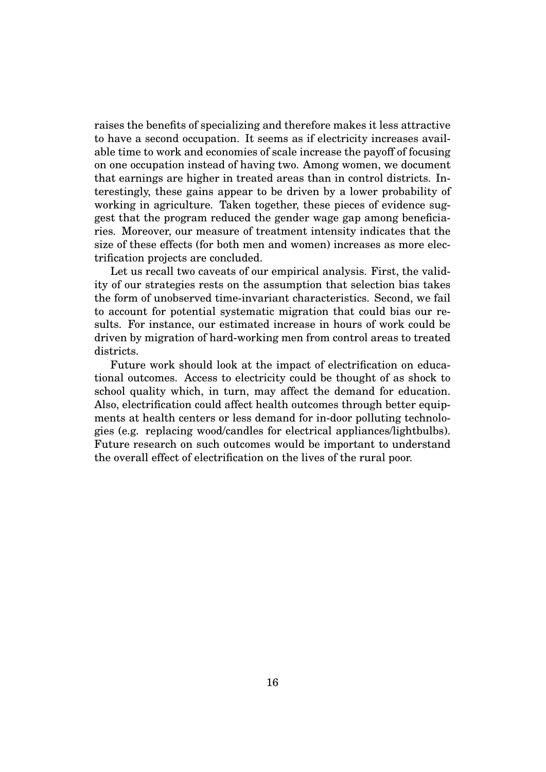raises the benefits of specializing and therefore makes it less attractive to have a second occupation. It seems as if electricity increases available time to work and economies of scale increase the payoff of focusing on one occupation instead of having two. Among women, we document that earnings are higher in treated areas than in control districts. Interestingly, these gains appear to be driven by a lower probability of working in agriculture. Taken together, these pieces of evidence suggest that the program reduced the gender wage gap among beneficiaries. Moreover, our measure of treatment intensity indicates that the size of these effects (for both men and women) increases as more electrification projects are concluded.

Let us recall two caveats of our empirical analysis. First, the validity of our strategies rests on the assumption that selection bias takes the form of unobserved time-invariant characteristics. Second, we fail to account for potential systematic migration that could bias our results. For instance, our estimated increase in hours of work could be driven by migration of hard-working men from control areas to treated districts.

Future work should look at the impact of electrification on educational outcomes. Access to electricity could be thought of as shock to school quality which, in turn, may affect the demand for education. Also, electrification could affect health outcomes through better equipments at health centers or less demand for in-door polluting technologies (e.g. replacing wood/candles for electrical appliances/lightbulbs). Future research on such outcomes would be important to understand the overall effect of electrification on the lives of the rural poor.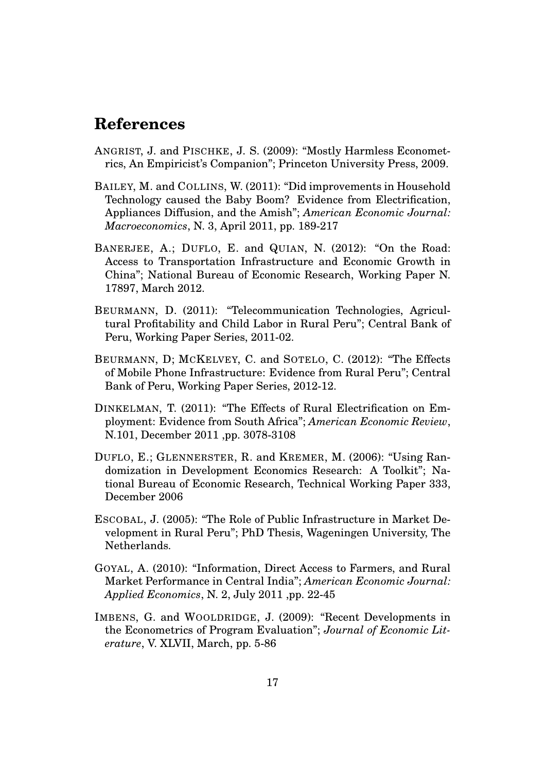# **References**

- ANGRIST, J. and PISCHKE, J. S. (2009): "Mostly Harmless Econometrics, An Empiricist's Companion"; Princeton University Press, 2009.
- BAILEY, M. and COLLINS, W. (2011): "Did improvements in Household Technology caused the Baby Boom? Evidence from Electrification, Appliances Diffusion, and the Amish"; *American Economic Journal: Macroeconomics*, N. 3, April 2011, pp. 189-217
- BANERJEE, A.; DUFLO, E. and QUIAN, N. (2012): "On the Road: Access to Transportation Infrastructure and Economic Growth in China"; National Bureau of Economic Research, Working Paper N. 17897, March 2012.
- BEURMANN, D. (2011): "Telecommunication Technologies, Agricultural Profitability and Child Labor in Rural Peru"; Central Bank of Peru, Working Paper Series, 2011-02.
- BEURMANN, D; MCKELVEY, C. and SOTELO, C. (2012): "The Effects of Mobile Phone Infrastructure: Evidence from Rural Peru"; Central Bank of Peru, Working Paper Series, 2012-12.
- DINKELMAN, T. (2011): "The Effects of Rural Electrification on Employment: Evidence from South Africa"; *American Economic Review*, N.101, December 2011 ,pp. 3078-3108
- DUFLO, E.; GLENNERSTER, R. and KREMER, M. (2006): "Using Randomization in Development Economics Research: A Toolkit"; National Bureau of Economic Research, Technical Working Paper 333, December 2006
- ESCOBAL, J. (2005): "The Role of Public Infrastructure in Market Development in Rural Peru"; PhD Thesis, Wageningen University, The Netherlands.
- GOYAL, A. (2010): "Information, Direct Access to Farmers, and Rural Market Performance in Central India"; *American Economic Journal: Applied Economics*, N. 2, July 2011 ,pp. 22-45
- IMBENS, G. and WOOLDRIDGE, J. (2009): "Recent Developments in the Econometrics of Program Evaluation"; *Journal of Economic Literature*, V. XLVII, March, pp. 5-86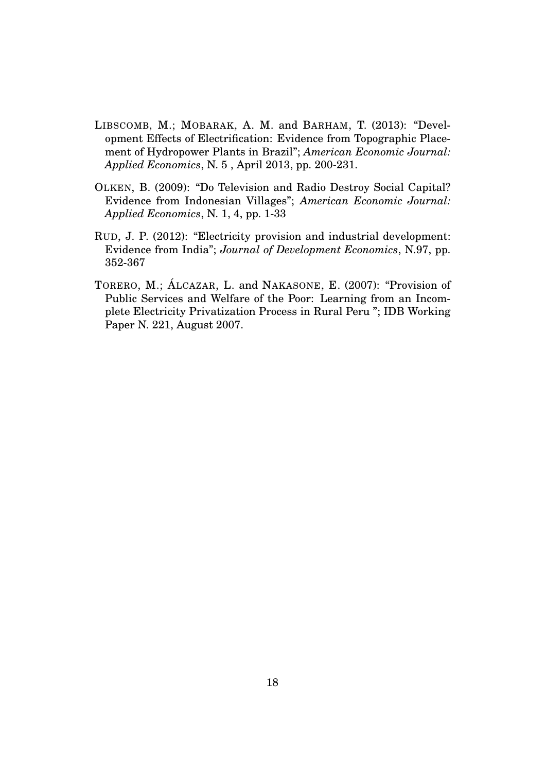- LIBSCOMB, M.; MOBARAK, A. M. and BARHAM, T. (2013): "Development Effects of Electrification: Evidence from Topographic Placement of Hydropower Plants in Brazil"; *American Economic Journal: Applied Economics*, N. 5 , April 2013, pp. 200-231.
- OLKEN, B. (2009): "Do Television and Radio Destroy Social Capital? Evidence from Indonesian Villages"; *American Economic Journal: Applied Economics*, N. 1, 4, pp. 1-33
- RUD, J. P. (2012): "Electricity provision and industrial development: Evidence from India"; *Journal of Development Economics*, N.97, pp. 352-367
- TORERO, M.; ÁLCAZAR, L. and NAKASONE, E. (2007): "Provision of Public Services and Welfare of the Poor: Learning from an Incomplete Electricity Privatization Process in Rural Peru "; IDB Working Paper N. 221, August 2007.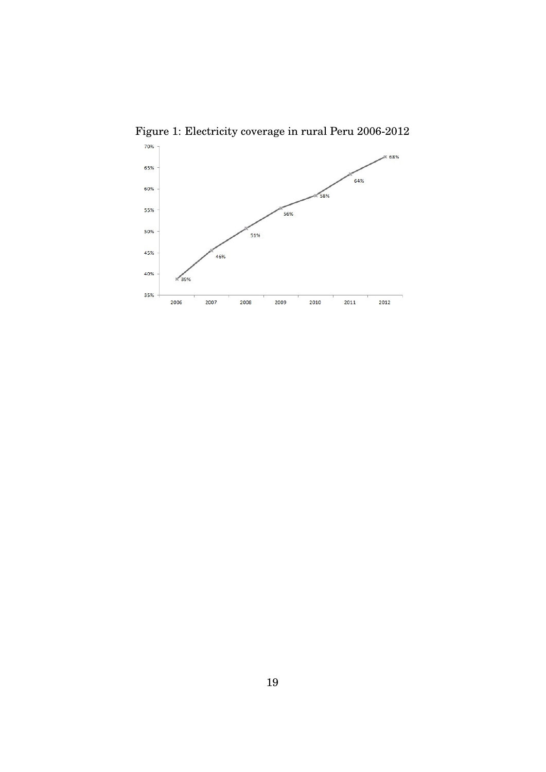

Figure 1: Electricity coverage in rural Peru 2006-2012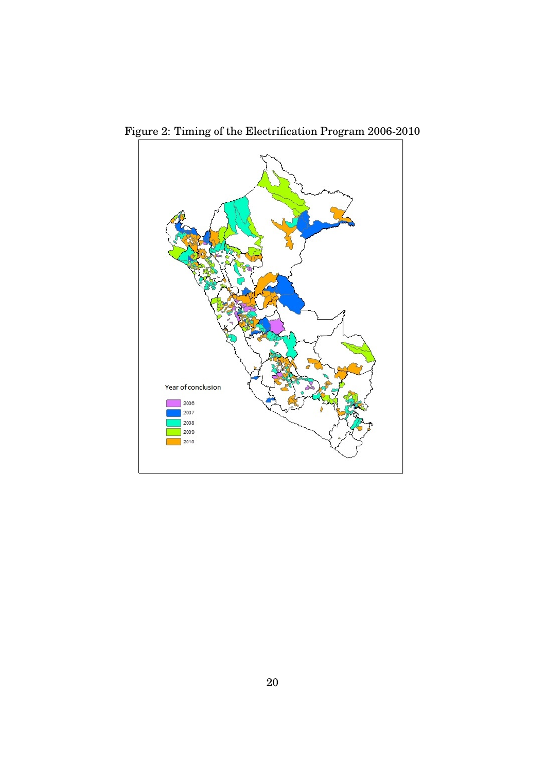

Figure 2: Timing of the Electrification Program 2006-2010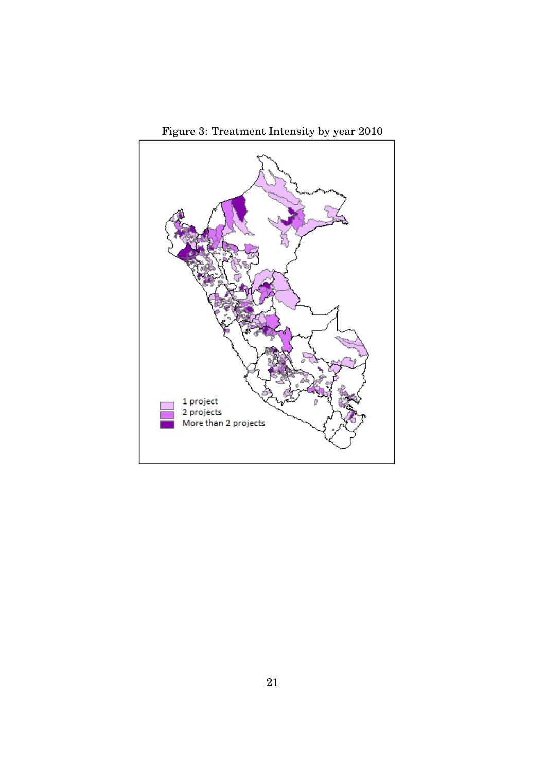

Figure 3: Treatment Intensity by year 2010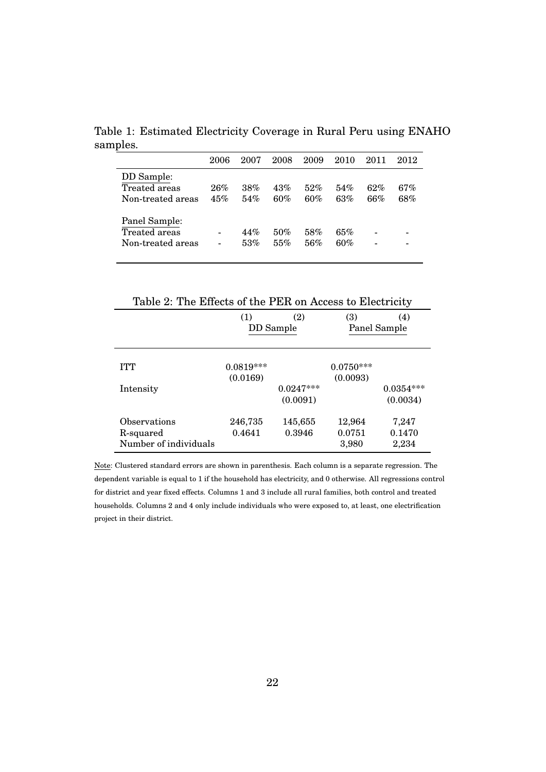Table 1: Estimated Electricity Coverage in Rural Peru using ENAHO samples.

|                                                     | 2006       | 2007       | 2008       | 2009       | 2010       | 2011       | 2012       |
|-----------------------------------------------------|------------|------------|------------|------------|------------|------------|------------|
| DD Sample:<br>Treated areas<br>Non-treated areas    | 26%<br>45% | 38%<br>54% | 43%<br>60% | 52%<br>60% | 54%<br>63% | 62%<br>66% | 67%<br>68% |
| Panel Sample:<br>Treated areas<br>Non-treated areas |            | 44%<br>53% | 50%<br>55% | 58%<br>56% | 65%<br>60% |            | -          |

| (1)         | (2)         | (3)         | (4)                                                        |
|-------------|-------------|-------------|------------------------------------------------------------|
|             |             |             | Panel Sample                                               |
|             |             |             |                                                            |
| $0.0819***$ |             | $0.0750***$ |                                                            |
| (0.0169)    |             | (0.0093)    |                                                            |
|             | $0.0247***$ |             | $0.0354***$                                                |
|             | (0.0091)    |             | (0.0034)                                                   |
| 246,735     | 145,655     | 12,964      | 7,247                                                      |
| 0.4641      | 0.3946      | 0.0751      | 0.1470                                                     |
|             |             | 3,980       | 2,234                                                      |
|             |             | DD Sample   | Table 2. The Effects of the $FEN$ on Access to Efectricity |

Table 2: The Effects of the PER on Access to Electricity

Note: Clustered standard errors are shown in parenthesis. Each column is a separate regression. The dependent variable is equal to 1 if the household has electricity, and 0 otherwise. All regressions control for district and year fixed effects. Columns 1 and 3 include all rural families, both control and treated households. Columns 2 and 4 only include individuals who were exposed to, at least, one electrification project in their district.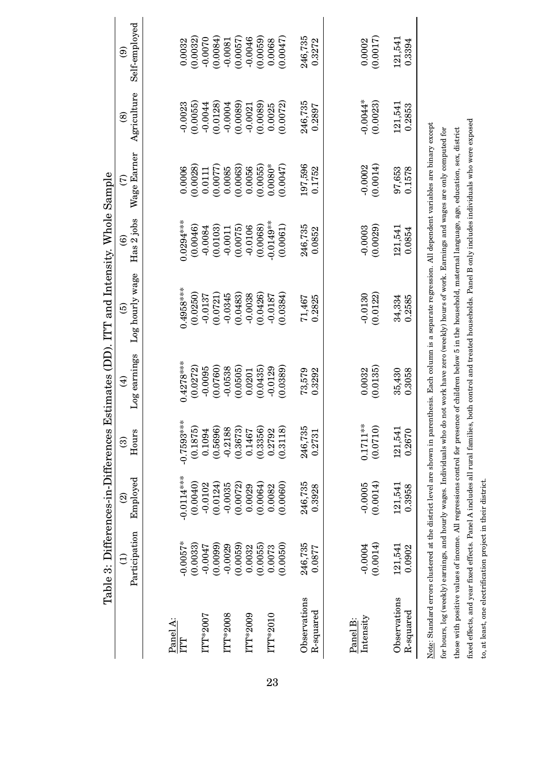|                                                                                                                                             |                       |                       |                        |                             | Table 3: Differences-in-Differences Estimates (DD). ITT and Intensity. Whole Sample                                                                                                                                                                                                                                                                                                                                                                                                                                                                                                           |                                      |                       |                            |                                |
|---------------------------------------------------------------------------------------------------------------------------------------------|-----------------------|-----------------------|------------------------|-----------------------------|-----------------------------------------------------------------------------------------------------------------------------------------------------------------------------------------------------------------------------------------------------------------------------------------------------------------------------------------------------------------------------------------------------------------------------------------------------------------------------------------------------------------------------------------------------------------------------------------------|--------------------------------------|-----------------------|----------------------------|--------------------------------|
|                                                                                                                                             | Participation<br>€    | Employed<br>ତ୍ର       | Hours<br>ම             | Log earnings<br>$\bigoplus$ | Log hourly wage<br>ම                                                                                                                                                                                                                                                                                                                                                                                                                                                                                                                                                                          | Has 2 jobs<br>$\widehat{\mathbf{e}}$ | Wage Earner<br>G      | Agriculture<br>$\circledS$ | Self-employed<br>$\widehat{e}$ |
|                                                                                                                                             |                       |                       |                        |                             |                                                                                                                                                                                                                                                                                                                                                                                                                                                                                                                                                                                               |                                      |                       |                            |                                |
| Panel A:<br>ITT                                                                                                                             | $-0.0057*$            | $-0.0114***$          | $-0.7593***$           | $0.4278***$                 | $0.4958***$                                                                                                                                                                                                                                                                                                                                                                                                                                                                                                                                                                                   | $0.0294***$                          | 0.0006                | $-0.0023$                  | 0.0032                         |
| ITT*2007                                                                                                                                    | (0.0033)<br>-0.0047   | (0.0040)<br>$-0.0102$ | (0.1875)<br>0.1094     | (0.0272)<br>$-0.0095$       | (0.0250)<br>$-0.0137$                                                                                                                                                                                                                                                                                                                                                                                                                                                                                                                                                                         | (0.0046)<br>$-0.0084$                | (0.0028)<br>0.0111    | (0.0055)<br>$-0.0044$      | (0.0032)<br>$-0.0070$          |
| ITT*2008                                                                                                                                    | (0.0099)<br>$-0.0029$ | (0.0124)<br>$-0.0035$ | (0.5696)<br>$-0.2188$  | (0.0760)<br>$-0.0538$       | (0.0721)<br>$-0.0345$                                                                                                                                                                                                                                                                                                                                                                                                                                                                                                                                                                         | (0.0103)<br>$-0.0011$                | (0.0077)<br>0.0085    | (0.0128)<br>$-0.0004$      | (0.0084)<br>$-0.0081$          |
| ITT*2009                                                                                                                                    | (0.0059)<br>0.0032    | (0.0072)<br>0.0029    | (0.3673)<br>0.1467     | (0.0505)<br>0.0201          | (0.0483)<br>$-0.0038$                                                                                                                                                                                                                                                                                                                                                                                                                                                                                                                                                                         | (0.0075)<br>$-0.0106$                | (0.0063)<br>0.0056    | (0.0089)<br>$-0.0021$      | (0.0057)<br>$-0.0046$          |
|                                                                                                                                             | (0.0055)              | (0.0064)              | (0.3356)               | (0.0435)                    | (0.0426)                                                                                                                                                                                                                                                                                                                                                                                                                                                                                                                                                                                      | (0.0068)                             | (0.0055)              | (0.0089)                   | (0.0059)                       |
| ITT*2010                                                                                                                                    | (0.0050)<br>0.0073    | (0.0060)<br>0.0082    | (0.3118)<br>0.2792     | (0.0389)<br>$-0.0129$       | (0.0384)<br>$-0.0187$                                                                                                                                                                                                                                                                                                                                                                                                                                                                                                                                                                         | $-0.0149***$<br>(0.0061)             | $0.0080*$<br>(0.0047) | (0.0072)<br>0.0025         | (0.0047)<br>0.0068             |
|                                                                                                                                             |                       |                       |                        |                             |                                                                                                                                                                                                                                                                                                                                                                                                                                                                                                                                                                                               |                                      |                       |                            |                                |
| Observations                                                                                                                                | 246,735               | 246,735               | 246,735                | 73,579                      | 71,467                                                                                                                                                                                                                                                                                                                                                                                                                                                                                                                                                                                        | 246,735                              | 197,596               | 246,735                    | 246,735                        |
| R-squared                                                                                                                                   | 0.0877                | 0.3928                | 0.2731                 | 0.3292                      | 0.2825                                                                                                                                                                                                                                                                                                                                                                                                                                                                                                                                                                                        | 0.0852                               | 0.1752                | 0.2897                     | 0.3272                         |
|                                                                                                                                             |                       |                       |                        |                             |                                                                                                                                                                                                                                                                                                                                                                                                                                                                                                                                                                                               |                                      |                       |                            |                                |
| Intensity<br>Panel B:                                                                                                                       | (0.0014)<br>$-0.0004$ | (0.0014)<br>$-0.0005$ | $0.1711**$<br>(0.0710) | (0.0135)<br>0.0032          | $-0.0130$<br>(0.0122)                                                                                                                                                                                                                                                                                                                                                                                                                                                                                                                                                                         | (0.0029)<br>$-0.0003$                | (0.0014)<br>$-0.0002$ | $-0.0044*$<br>(0.0023)     | (0.0017)<br>0.0002             |
| Observations<br>R-squared                                                                                                                   | 121,541<br>0.0902     | 121,541<br>0.3958     | 121,541<br>0.2670      | 35,430<br>0.3058            | 34,334<br>0.2585                                                                                                                                                                                                                                                                                                                                                                                                                                                                                                                                                                              | 121,541<br>0.0854                    | 97,653<br>0.1578      | 121,541<br>0.2853          | 121,541<br>0.3394              |
| fixed effects, and year fixed effects. Panel A includes all rural families,<br>to, at least, one electrification project in their district. |                       |                       |                        |                             | both control and treated households. Panel B only includes individuals who were exposed<br>Note: Standard errors clustered at the district level are shown in parenthesis. Each column is a separate regression. All dependent variables are binary except<br>for hours, log (weekly) earnings, and hourly wages. Individuals who do not work have zero (weekly) hours of work. Earnings and wages are only computed for<br>those with positive values of income. All regressions control for presence of children below 5 in the household, maternal language, age, education, sex, district |                                      |                       |                            |                                |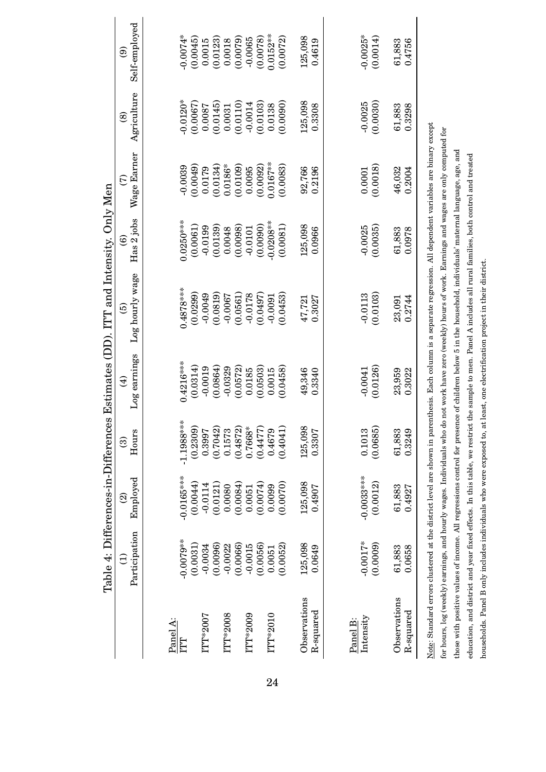|                       | Table 4: Differences-in-Differences |                       |                    |                                         | Estimates (DD). ITT and Intensity. Only Men                                                                                                                     |                                      |                         |                              |                                          |
|-----------------------|-------------------------------------|-----------------------|--------------------|-----------------------------------------|-----------------------------------------------------------------------------------------------------------------------------------------------------------------|--------------------------------------|-------------------------|------------------------------|------------------------------------------|
|                       | Participation<br>Ξ                  | Employed<br>ତ୍ର       | Hours<br>ම         | Log earnings<br>$\widehat{\mathcal{A}}$ | Log hourly wage<br>ම                                                                                                                                            | Has 2 jobs<br>$\widehat{\mathbf{e}}$ | Wage Earner<br>E        | Agriculture<br>$\circledast$ | Self-employed<br>$\widehat{\mathcal{E}}$ |
|                       |                                     |                       |                    |                                         |                                                                                                                                                                 |                                      |                         |                              |                                          |
| Panel A:<br>ILI       | $-0.0079***$                        | $-0.0165***$          | $-1.1988***$       | $0.4216***$                             | $0.4878***$                                                                                                                                                     | $0.0250***$                          | $-0.0039$               | $0.0120*$                    | $-0.0074*$                               |
| <b>ITT*2007</b>       | (0.0031)<br>$-0.0034$               | (0.0044)<br>$-0.0114$ | (0.2309)<br>0.3997 | (0.0314)<br>$-0.0019$                   | (0.0299)<br>$-0.0049$                                                                                                                                           | (0.0061)<br>$-0.0199$                | (0.0049)<br>0.0179      | (0.0067)<br>0.0087           | (0.0045)<br>0.0015                       |
|                       | (0.0096)                            | (0.0121)              | (0.7042)           | (0.0864)                                | (0.0819)                                                                                                                                                        | (0.0139)                             | (0.0134)                | (0.0145)                     | (0.0123)                                 |
| ITT*2008              | (0.0066)<br>$-0.0022$               | (0.0084)<br>0.0080    | (0.4872)<br>0.1573 | (0.0572)<br>$-0.0329$                   | (0.0561)<br>$-0.0067$                                                                                                                                           | (0.0098)<br>0.0048                   | $0.0186*$<br>(0.0109)   | (0.0110)<br>0.0031           | (0.0079)<br>0.0018                       |
| ITT*2009              | $-0.0015$                           | 0.0051                | $0.7668*$          | 0.0185                                  | $-0.0178$                                                                                                                                                       | $-0.0101$                            | 0.0095                  | $-0.0014$                    | $-0.0065$                                |
| ITT*2010              | (0.0056)<br>0.0051                  | (0.0074)<br>0.0099    | (0.4477)<br>0.4679 | (0.0503)<br>0.0015                      | (0.0497)<br>$-0.0091$                                                                                                                                           | $-0.0208***$<br>(0.0090)             | $0.0167***$<br>(0.0092) | (0.0103)<br>0.0138           | $0.0152***$<br>(0.0078)                  |
|                       | (0.0052)                            | (0.0070)              | (0.4041)           | (0.0458)                                | (0.0453)                                                                                                                                                        | (0.0081)                             | (0.0083)                | (0.0090)                     | (0.0072)                                 |
| Observations          | 125,098                             | 125,098               | 125,098            | 49,346                                  | 47,721                                                                                                                                                          | 125,098                              | 92,766                  | 125,098                      | 125,098                                  |
| R-squared             | 0.0649                              | 0.4907                | 0.3307             | 0.3340                                  | 0.3027                                                                                                                                                          | 0.0966                               | 0.2196                  | 0.3308                       | 0.4619                                   |
|                       |                                     |                       |                    |                                         |                                                                                                                                                                 |                                      |                         |                              |                                          |
| Intensity<br>Panel B: | $-0.0017*$                          | $-0.0033***$          | 0.1013             | $-0.0041$                               | $-0.0113$                                                                                                                                                       | $-0.0025$                            | 0.0001                  | $-0.0025$                    | $-0.0025*$                               |
|                       | (0.0009)                            | (0.0012)              | (0.0685)           | (0.0126)                                | (0.0103)                                                                                                                                                        | (0.0035)                             | (0.0018)                | (0.0030)                     | (0.0014)                                 |
| Observations          | 61,883                              | 61,883                | 61,883             | 23,959                                  | 23,091                                                                                                                                                          | 61,883                               | 46,032                  | 61,883                       | 61,883                                   |
| R-squared             | 0.0658                              | 0.4927                | 0.3249             | 0.3022                                  | 0.2744                                                                                                                                                          | 0.0978                               | 0.2004                  | 0.3298                       | 0.4756                                   |
|                       |                                     |                       |                    |                                         | Note: Standard errors clustered at the district level are shown in parenthesis. Each column is a separate regression. All dependent variables are binary except |                                      |                         |                              |                                          |
|                       |                                     |                       |                    |                                         | for hours, log (weekly) earnings, and hourly wages. Individuals who do not work have zero (weekly) hours of work. Earnings and wages are only computed for      |                                      |                         |                              |                                          |
|                       |                                     |                       |                    |                                         | those with positive values of income. All regressions control for presence of children below 5 in the household, individuals' maternal language, age, and       |                                      |                         |                              |                                          |
|                       |                                     |                       |                    |                                         | education, and district and year fixed effects. In this table, we restrict the sample to men. Panel A includes all rural families, both control and treated     |                                      |                         |                              |                                          |
|                       |                                     |                       |                    |                                         | households. Panel B only includes individuals who were exposed to, at least, one electrification project in their district.                                     |                                      |                         |                              |                                          |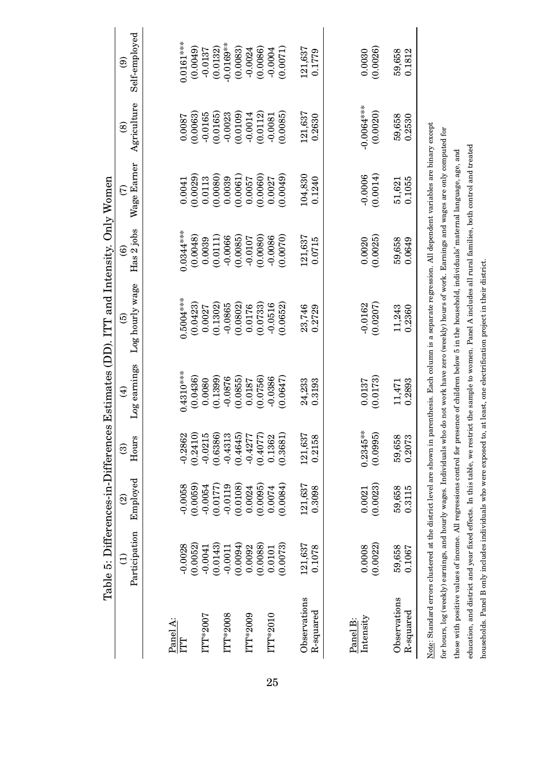|                       |                       |                       |                       |                                        | Table 5: Differences-in-Differences Estimates (DD). ITT and Intensity. Only Women                                                                               |                       |                    |                            |                          |
|-----------------------|-----------------------|-----------------------|-----------------------|----------------------------------------|-----------------------------------------------------------------------------------------------------------------------------------------------------------------|-----------------------|--------------------|----------------------------|--------------------------|
|                       | Participation         | Employed<br>ତ୍ର       | Hours<br>ම            | Log earnings<br>$\widehat{\mathbf{f}}$ | Log hourly wage<br>ම                                                                                                                                            | Has 2 jobs<br>ම       | Wage Earner<br>E   | Agriculture<br>$\circledS$ | Self-employed<br>ම       |
|                       |                       |                       |                       |                                        |                                                                                                                                                                 |                       |                    |                            |                          |
| Panel A:<br>ITT       | $-0.0028$             | $-0.0058$             | $-0.2862$             | $0.4310***$                            | $0.5004***$                                                                                                                                                     | 0.0344****            | 0.0041             | 0.0087                     | $0.0161***$              |
| <b>ITT*2007</b>       | (0.0052)<br>$-0.0041$ | (0.0059)<br>$-0.0054$ | (0.2410)<br>$-0.0215$ | (0.0436)<br>0.0080                     | (0.0423)<br>0.0027                                                                                                                                              | (0.0048)<br>0.0039    | (0.0029)<br>0.0113 | (0.0063)<br>$-0.0165$      | (0.0049)<br>$-0.0137$    |
| ITT*2008              | (0.0143)<br>$-0.0011$ | (0.0177)<br>$-0.0119$ | (0.6386)<br>$-0.4313$ | (0.1399)<br>$-0.0876$                  | (0.1302)<br>$-0.0865$                                                                                                                                           | (0.0111)<br>$-0.0066$ | (0.0080)<br>0.0039 | (0.0165)<br>$-0.0023$      | $-0.0169***$<br>(0.0132) |
|                       | (6000.0)              | (0.0108)              | (0.4645)              | (0.0855)                               | (0.0802)                                                                                                                                                        | (0.0085)              | (0.0061)           | (0.0109)                   | (0.0083)                 |
| ITT*2009              | (0.0088)<br>0.0092    | (0.0095)<br>0.0024    | $-0.4277$<br>(0.4077) | (0.0756)<br>0.0187                     | (0.0733)<br>0.0176                                                                                                                                              | (0.0080)<br>$-0.0107$ | (0.0060)<br>0.0057 | (0.0112)<br>$-0.0014$      | (0.0086)<br>$-0.0024$    |
| $\rm ITT^{*}2010$     | 0.0101                | 0.0074                | 0.1362                | $-0.0386$                              | $-0.0516$                                                                                                                                                       | $-0.0086$             | 0.0027             | $-0.0081$                  | $-0.0004$                |
|                       | (0.0073)              | (0.0084)              | (0.3681)              | (0.0647)                               | (0.0652)                                                                                                                                                        | (0.0070)              | (6500.0)           | (0.0085)                   | (0.0071)                 |
| Observations          | 121,637               | 121,637               | 121,637               | 24,233                                 | 23,746                                                                                                                                                          | 121,637               | 104,830            | 121,637                    | 121,637                  |
| R-squared             | 0.1078                | 0.3098                | 0.2158                | 0.3193                                 | 0.2729                                                                                                                                                          | 0.0715                | 0.1240             | 0.2630                     | 0.1779                   |
|                       |                       |                       |                       |                                        |                                                                                                                                                                 |                       |                    |                            |                          |
| Intensity<br>Panel B: | 0.0008                | 0.0021                | $0.2345***$           | 0.0137                                 | $-0.0162$                                                                                                                                                       | 0.0020                | $-0.0006$          | -0.0064****                | 0.0030                   |
|                       | (0.0022)              | (0.0023)              | (0.0995)              | (0.0173)                               | (0.0207)                                                                                                                                                        | (0.0025)              | (0.0014)           | (0.0020)                   | (0.0026)                 |
| Observations          | 59,658                | 59,658                | 59,658                | 11,471                                 | 11,243                                                                                                                                                          | 59,658                | 51,621             | 59,658                     | 59,658                   |
| R-squared             | 0.1067                | 0.3115                | 0.2073                | 0.2893                                 | 0.2360                                                                                                                                                          | 0.0649                | 0.1055             | 0.2530                     | 0.1812                   |
|                       |                       |                       |                       |                                        | Note: Standard errors clustered at the district level are shown in parenthesis. Each column is a separate regression. All dependent variables are binary except |                       |                    |                            |                          |
|                       |                       |                       |                       |                                        | for hours, log (weekly) earnings, and hourly wages. Individuals who do not work have zero (weekly) hours of work. Earnings and wages are only computed for      |                       |                    |                            |                          |
|                       |                       |                       |                       |                                        | those with positive values of income. All regressions control for presence of children below 5 in the household, individuals' maternal language, age, and       |                       |                    |                            |                          |
|                       |                       |                       |                       |                                        | education, and district and year fixed effects. In this table, we restrict the sample to women. Panel A includes all rural families, both control and treated   |                       |                    |                            |                          |
|                       |                       |                       |                       |                                        | households. Panel B only includes individuals who were exposed to, at least, one electrification project in their district.                                     |                       |                    |                            |                          |

25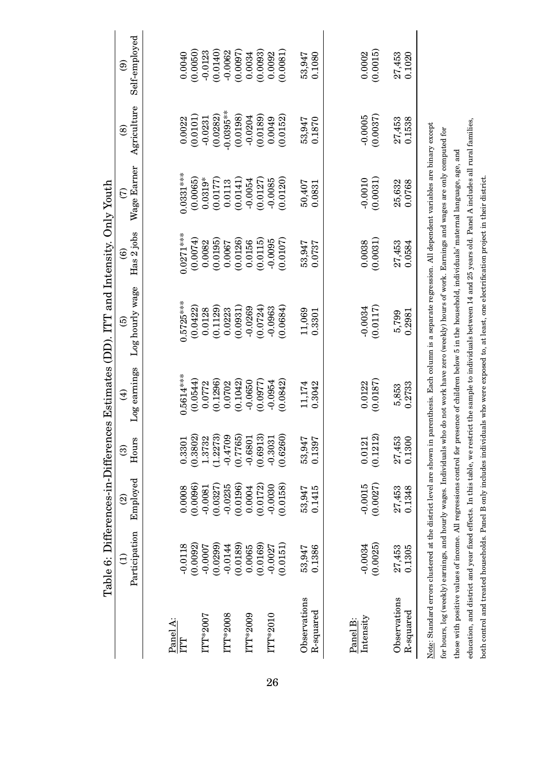|                           |                       |                       |                                                                           |                             | Table 6: Differences-in-Differences Estimates (DD). ITT and Intensity. Only Youth                                                                                      |                       |                       |                              |                       |
|---------------------------|-----------------------|-----------------------|---------------------------------------------------------------------------|-----------------------------|------------------------------------------------------------------------------------------------------------------------------------------------------------------------|-----------------------|-----------------------|------------------------------|-----------------------|
|                           | Participation<br>Ξ    | Employed<br>ତ୍ର       | Hours<br>$\widehat{\odot}$                                                | Log earnings<br>$\bigoplus$ | Log hourly wage<br>ම                                                                                                                                                   | Has 2 jobs<br>ම       | Wage Earner<br>E      | Agriculture<br>$\circledast$ | Self-employed<br>ම    |
|                           |                       |                       |                                                                           |                             |                                                                                                                                                                        |                       |                       |                              |                       |
| Panel A:<br>ITT           | $-0.0118$             | 0.0008                | 0.3301                                                                    | $0.5614***$                 | $0.5725***$                                                                                                                                                            | $0.0271***$           | $0.0331***$           | 0.0022                       | 0.0040                |
| ITT*2007                  | (0.0092)<br>$-0.0007$ | (0.0096)<br>$-0.0081$ | $(0.3802)$<br>1.3732                                                      | (0.0544)<br>0.0772          | (0.0422)<br>0.0128                                                                                                                                                     | (0.0074)<br>0.0082    | (0.0065)<br>$0.0319*$ | (0.0101)<br>$-0.0231$        | (0.0050)<br>$-0.0123$ |
| ITT*2008                  | (0.0299)<br>$-0.0144$ | (0.0327)<br>$-0.0235$ | $(1.2273)$<br>$-0.4709$                                                   | (0.1296)<br>0.0702          | (0.1129)<br>0.0223                                                                                                                                                     | (0.0195)<br>0.0067    | (0.0177)<br>0.0113    | $-0.0395***$<br>(0.0282)     | (0.0140)<br>$-0.0062$ |
| ITT*2009                  | (0.0189)<br>0.0065    | (0.0196)<br>0.0004    |                                                                           | (0.1042)<br>$-0.0650$       | (0.0931)<br>$-0.0269$                                                                                                                                                  | (0.0126)<br>0.0156    | (0.0141)<br>$-0.0054$ | (0.0198)<br>$-0.0204$        | (0.0097)<br>0.0034    |
| ITT*2010                  | (0.0169)<br>$-0.0027$ | (0.0172)<br>$-0.0030$ | $\begin{array}{c} (0.7765) \\ -0.6801 \\ (0.6913) \\ -0.3031 \end{array}$ | (0.0977)<br>$-0.0954$       | (0.0724)<br>$-0.0963$                                                                                                                                                  | (0.0115)<br>$-0.0095$ | (0.0127)<br>$-0.0085$ | (0.0189)<br>0.0049           | (0.0093)<br>0.0092    |
|                           | (0.0151)              | (0.0158)              | (0.6260)                                                                  | (0.0842)                    | (0.0684)                                                                                                                                                               | (0.0107)              | (0.0120)              | (0.0152)                     | 0.0081                |
| Observations<br>R-squared | 0.1386<br>53,947      | 53,947<br>0.1415      | 53,947<br>0.1397                                                          | 11,174<br>0.3042            | 11,069<br>0.3301                                                                                                                                                       | 53,947<br>0.0737      | 50,407<br>0.0831      | 0.1870<br>53,947             | 0.1080<br>53,947      |
|                           |                       |                       |                                                                           |                             |                                                                                                                                                                        |                       |                       |                              |                       |
| Intensity<br>Panel B:     | $-0.0034$             | $-0.0015$             | 0.0121                                                                    | 0.0122                      | $-0.0034$                                                                                                                                                              | 0.0038                | $-0.0010$             | $-0.0005$                    | 0.0002                |
|                           | (0.0025)              | (0.0027)              | (0.1212)                                                                  | (0.0187)                    | (0.0117)                                                                                                                                                               | (0.0031)              | (0.0031)              | (0.0037)                     | (0.0015)              |
| Observations              | 27,453                | 27,453                | 27,453                                                                    | 5,853                       | 5,799                                                                                                                                                                  | 27,453                | 25,632                | 27,453                       | 27,453                |
| R-squared                 | 0.1305                | 0.1348                | 0.1300                                                                    | 0.2733                      | 0.2981                                                                                                                                                                 | 0.0584                | 0.0768                | 0.1538                       | 0.1020                |
|                           |                       |                       |                                                                           |                             | Note: Standard errors clustered at the district level are shown in parenthesis. Bach column is a separate regression. All dependent variables are binary except        |                       |                       |                              |                       |
|                           |                       |                       |                                                                           |                             | for hours, log (weekly) earnings, and hourly wages. Individuals who do not work have zero (weekly) hours of work. Earnings and wages are only computed for             |                       |                       |                              |                       |
|                           |                       |                       |                                                                           |                             | those with positive values of income. All regressions control for presence of children below 5 in the household, individuals' maternal language, age, and              |                       |                       |                              |                       |
|                           |                       |                       |                                                                           |                             | education, and district and year fixed effects. In this table, we restrict the sample to individuals between 14 and 25 years old. Panel A includes all rural families, |                       |                       |                              |                       |
|                           |                       |                       |                                                                           |                             | both control and treated households. Panel B only includes individuals who were exposed to, at least, one electrification project in their district.                   |                       |                       |                              |                       |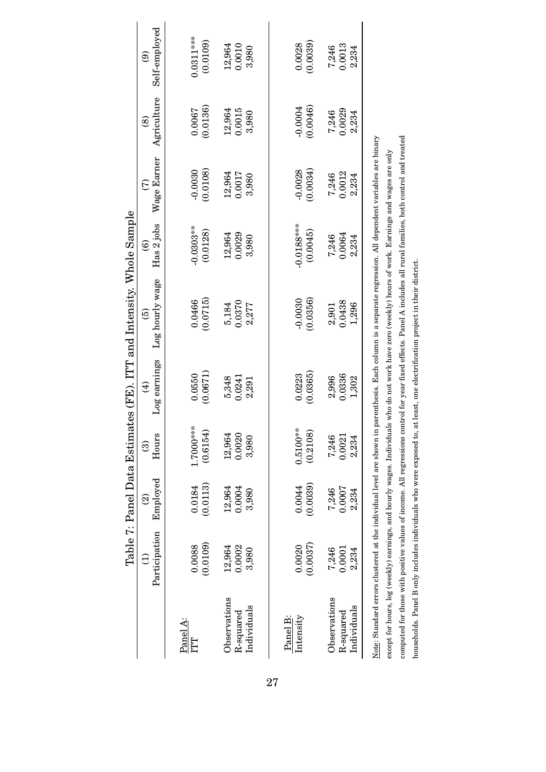|              |                                                                      | Table 7: Panel Data Estima |                   |              | ttes (FE). ITT and Intensity. Whole Sample                                            |                        |             |               |               |
|--------------|----------------------------------------------------------------------|----------------------------|-------------------|--------------|---------------------------------------------------------------------------------------|------------------------|-------------|---------------|---------------|
|              | Participation                                                        | Employed                   | Hours             | Log earnings | Log hourly wage                                                                       | Has 2 jobs             | Wage Earner | Agriculture   | Self-employed |
|              | $\hat{z}$                                                            | $\widehat{\mathfrak{D}}$   | $\widehat{\odot}$ | $\bigoplus$  | $\widehat{e}$                                                                         | $\widehat{\mathbf{e}}$ | E           | $\circledast$ | ම             |
| Panel A:     | (0.0109)                                                             | (0.0113)                   | $1.7000^{***}$    | (0.0671)     | (0.0715)                                                                              | $0.0303***$            | $-0.0030$   | (0.0136)      | $0.0311***$   |
| ILI          | 0.0088                                                               | 0.0184                     | (0.6154)          | 0.0550       | 0.0466                                                                                | (0.0128)               | (0.0108)    | 0.0067        | (0.0109)      |
| Observations | 12,964                                                               | 12,964                     | 12,964            | 0.0241       | 0.0370                                                                                | 12,964                 | 12,964      | 12,964        | 12,964        |
| Individuals  | 0.0002                                                               | 0.0004                     | 0.0020            | 5,348        | 5,184                                                                                 | 0.0029                 | 0.0017      | 0.0015        | 0.0010        |
| R-squared    | 3,980                                                                | 3,980                      | 3,980             | 2,291        | 2,277                                                                                 | 3,980                  | 3,980       | 3,980         | 3,980         |
| Panel B:     | (0.0037)                                                             | (0.0039)                   | $0.5100***$       | (0.0365)     | $-0.0030$                                                                             | $-0.0188***$           | $-0.0028$   | 0.0004        | (0.0039)      |
| Intensity    | 0.0020                                                               | 0.0044                     | (0.2108)          | 0.0223       | (0.0356)                                                                              | (0.0045)               | (0.0034)    | (0.0046)      | 0.0028        |
| Observations | 0.0001                                                               | 0.0007                     | 0.0021            | 0.0336       | 0.0438                                                                                | 0.0064                 | 0.0012      | 0.0029        | 0.0013        |
| Individuals  | 7,246                                                                | 7,246                      | 7,246             | 2,996        | 1,296                                                                                 | 7,246                  | 7,246       | 7,246         | 7,246         |
| R-squared    | 2,234                                                                | 2,234                      | 2,234             | 1,302        | 2,901                                                                                 | 2,234                  | 2,234       | 2,234         | 2,234         |
|              | Note: Standard errors clustered at the individual level are shown in |                            |                   |              | parenthesis. Each column is a separate regression. All dependent variables are binary |                        |             |               |               |

computed for those with positive values of income. All regressions control for year fixed effects. Panel A includes all rural families, both control and treated computed for those with positive values of income. All regressions control for year fixed effects. Panel A includes all rural families, both control and treated except for hours, log (weekly) earnings, and hourly wages. Individuals who do not work have zero (weekly) hours of work. Earnings and wages are only except for hours, log (weekly) earnings, and hourly wages. Individuals who do not work have zero (weekly) hours of work. Earnings and wages are only households. Panel B only includes individuals who were exposed to, at least, one electrification project in their district. households. Panel B only includes individuals who were exposed to, at least, one electrification project in their district.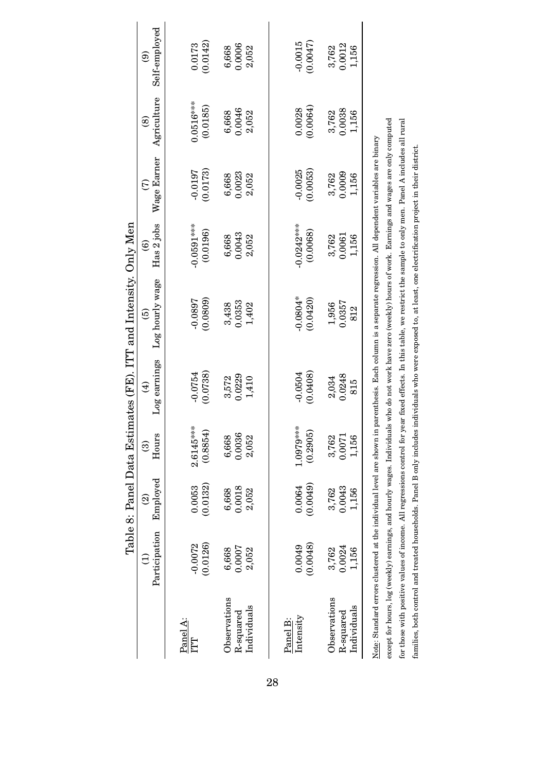|                                          |                                                                      |                                      |                            |                             | Table 8: Panel Data Estimates (FE). ITT and Intensity. Only Men                       |                                      |                          |                          |                                |
|------------------------------------------|----------------------------------------------------------------------|--------------------------------------|----------------------------|-----------------------------|---------------------------------------------------------------------------------------|--------------------------------------|--------------------------|--------------------------|--------------------------------|
|                                          | Participation                                                        | Employed<br>$\widehat{\mathfrak{D}}$ | Hours<br>$\widehat{\odot}$ | Log earnings<br>$\bigoplus$ | Log hourly wage<br>$\widehat{e}$                                                      | Has 2 jobs<br>$\widehat{\mathbf{e}}$ | Wage Earner<br>E         | Agriculture<br>$\hat{8}$ | Self-employed<br>$\widehat{e}$ |
| Panel A:<br>ITT                          | (0.0126)<br>$-0.0072$                                                | (0.0132)<br>0.0053                   | $2.6145***$<br>(0.8854)    | (0.0738)<br>$-0.0754$       | (0.0809)<br>$-0.0897$                                                                 | $-0.0591***$<br>(0.0196)             | (0.0173)<br>$-0.0197$    | $0.0516***$<br>(0.0185)  | (0.0142)<br>0.0173             |
| Observations<br>Individuals<br>R-squared | 0.0007<br>6,668<br>2,052                                             | 0.0018<br>6,668<br>2,052             | 0.0036<br>6,668<br>2,052   | 0.0229<br>3,572<br>1,410    | 0.0353<br>3,438<br>1,402                                                              | 0.0043<br>6,668<br>2,052             | 0.0023<br>6,668<br>2,052 | 0.0046<br>6,668<br>2,052 | 0.0006<br>6,668<br>2,052       |
| Intensity<br>Panel B:                    | (0.0048)<br>0.0049                                                   | (6500.00)<br>0.0064                  | $1.0979***$<br>(0.2905)    | (0.0408)<br>$-0.0504$       | $-0.0804*$<br>(0.0420)                                                                | $-0.0242***$<br>(0.0068)             | $-0.0025$<br>(0.0053)    | (0.0064)<br>0.0028       | $-0.0015$<br>(7400.00)         |
| Observations<br>Individuals<br>R-squared | 0.0024<br>3,762<br>1,156                                             | 3,762<br>0.0043<br>1,156             | 0.0071<br>3,762<br>156     | 0.0248<br>2,034<br>815      | 0.0357<br>1,956<br>812                                                                | 3,762<br>0.0061<br>1,156             | 3,762<br>0.0009<br>1,156 | 3,762<br>0.0038<br>1,156 | 0.0012<br>3,762<br>1,156       |
|                                          | Note: Standard errors clustered at the individual level are shown in |                                      |                            |                             | parenthesis. Each column is a separate regression. All dependent variables are binary |                                      |                          |                          |                                |

for those with positive values of income. All regressions control for year fixed effects. In this table, we restrict the sample to only men. Panel A includes all rural except for hours, log (weekly) earnings, and hourly wages. Individuals who do not work have zero (weekly) hours of work. Earnings and wages are only computed except for hours, log (weekly) earnings, and hourly wages. Individuals who do not work have zero (weekly) hours of work. Earnings and wages are only computed for those with positive values of income. All regressions control for year fixed effects. In this table, we restrict the sample to only men. Panel A includes all rural families, both control and treated households. Panel B only includes individuals who were exposed to, at least, one electrification project in their district. families, both control and treated households. Panel B only includes individuals who were exposed to, at least, one electrification project in their district.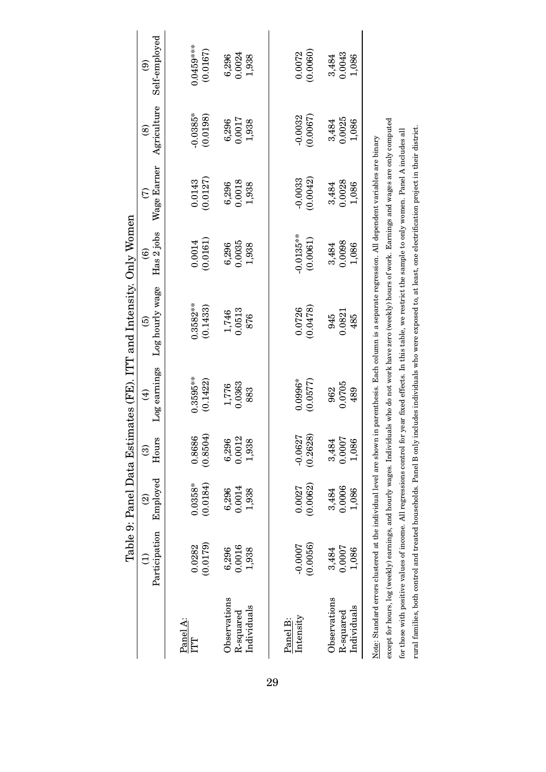|                        |                                                                                                                                         |                          |                        |              | Table 9: Panel Data Estimates (FE). ITT and Intensity. Only Women                                                                                                                       |                        |             |             |               |
|------------------------|-----------------------------------------------------------------------------------------------------------------------------------------|--------------------------|------------------------|--------------|-----------------------------------------------------------------------------------------------------------------------------------------------------------------------------------------|------------------------|-------------|-------------|---------------|
|                        | Participation                                                                                                                           | Employed                 | Hours                  | Log earnings | Log hourly wage                                                                                                                                                                         | Has 2 jobs             | Wage Earner | Agriculture | Self-employed |
|                        | €                                                                                                                                       | $\widehat{\mathfrak{D}}$ | $\widehat{\mathbf{e}}$ | $\bigoplus$  | $\widehat{5}$                                                                                                                                                                           | $\widehat{\mathbf{e}}$ | E           | @           | ම             |
| Panel A:<br><b>LLI</b> | 0.0282                                                                                                                                  | $0.0358*$                | 0.8686                 | $0.3595***$  | $0.3582***$                                                                                                                                                                             | 0.0014                 | 0.0143      | $-0.0385*$  | $0.0459***$   |
| Observations           | (0.0179)                                                                                                                                | (0.0184)                 | (0.8504                | (0.1422)     | (0.1433)                                                                                                                                                                                | (0.0161)               | 0.0127      | (0.0198)    | (0.0167)      |
|                        | 6,296                                                                                                                                   | 6,296                    | 6,296                  | 1,776        | 1,746                                                                                                                                                                                   | 6,296                  | 6,296       | 6,296       | 6,296         |
| Individuals            | 0.0016                                                                                                                                  | 0.0014                   | 0.0012                 | 0.0363       | 0.0513                                                                                                                                                                                  | 0.0035                 | 0.0018      | 0.0017      | 0.0024        |
| $R$ -squared           | 1,938                                                                                                                                   | 1,938                    | 1,938                  | 883          | 876                                                                                                                                                                                     | 1,938                  | 1,938       | 1,938       | 1,938         |
| Intensity<br>Panel B:  | $-0.0007$                                                                                                                               | 0.0027                   | $-0.0627$              | $0.0996*$    | 0.0726                                                                                                                                                                                  | $-0.0135***$           | $-0.0033$   | $-0.0032$   | 0.0072        |
| Observations           | (0.0056)                                                                                                                                | (0.0062)                 | (0.2628)               | (0.0577)     | (0.0478)                                                                                                                                                                                | (0.0061)               | (0.0042)    | (0.0067)    | 0.0060        |
|                        | 3,484                                                                                                                                   | 3,484                    | 3,484                  | 962          | 945                                                                                                                                                                                     | 3,484                  | 3,484       | 3,484       | 3,484         |
| Individuals            | 0.0007                                                                                                                                  | 0.0006                   | 0.0007                 | 0.0705       | 0.0821                                                                                                                                                                                  | 0.0098                 | 0.0028      | 0.0025      | 0.0043        |
| R-squared              | 1,086                                                                                                                                   | 1,086                    | 1,086                  | 489          | 485                                                                                                                                                                                     | 1,086                  | 1,086       | 1,086       | 1,086         |
|                        | Note: Standard errors clustered at the individual level are shown<br>except for hours, log (weekly) earnings, and hourly wages. Individ |                          |                        |              | uals who do not work have zero (weekly) hours of work. Earnings and wages are only computed<br>in parenthesis. Each column is a separate regression. All dependent variables are binary |                        |             |             |               |

for those with positive values of income. All regressions control for year fixed effects. In this table, we restrict the sample to only women. Panel A includes all rural families, both control and treated households. Panel B only includes individuals who were exposed to, at least, one electrification project in their district.

rural families, both control and treated households. Panel B only includes individuals who were exposed to, at least, one electrification project in their district. for those with positive values of income. All regressions control for year fixed effects. In this table, we restrict the sample to only women. Panel A includes all

29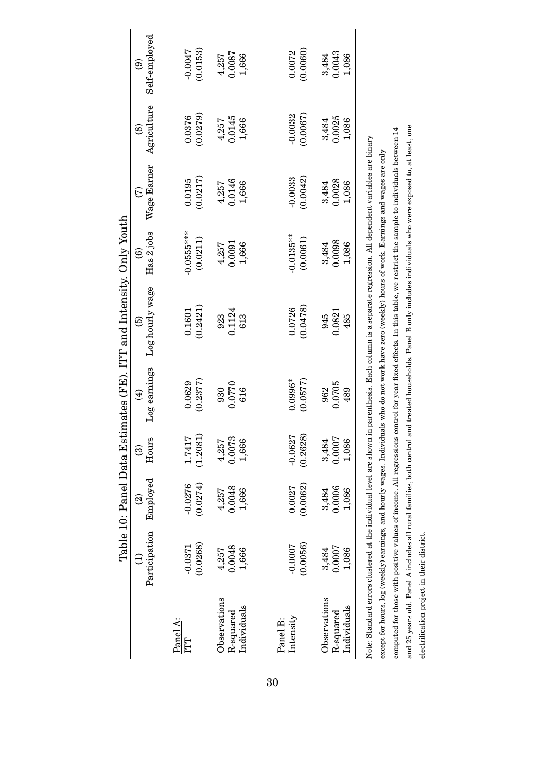|                                          |                                                                     |                          |                          |                       | Table 10: Panel Data Estimates (FE). ITT and Intensity. Only Youth                                                                                                                                                                                                                                                 |                          |                              |                          |                              |
|------------------------------------------|---------------------------------------------------------------------|--------------------------|--------------------------|-----------------------|--------------------------------------------------------------------------------------------------------------------------------------------------------------------------------------------------------------------------------------------------------------------------------------------------------------------|--------------------------|------------------------------|--------------------------|------------------------------|
|                                          | $\widehat{\Xi}$                                                     | $\widehat{\mathfrak{D}}$ | $\widehat{\odot}$        | $\bigoplus$           | $\widehat{\mathbf{e}}$                                                                                                                                                                                                                                                                                             | $\widehat{\mathbf{e}}$   | $\widehat{c}$                | $\circledast$            | $\widehat{e}$                |
|                                          | Participation                                                       | Employed                 | Hours                    | Log earnings          | Log hourly wage                                                                                                                                                                                                                                                                                                    | Has 2 jobs               | Wage Earner                  | Agriculture              | Self-employed                |
| Panel A:<br>ITT                          | (0.0268)<br>$-0.0371$                                               | (0.0274)<br>$-0.0276$    | 1.7417<br>(1.2081)       | (0.2377)<br>0.0629    | (0.2421)<br>0.1601                                                                                                                                                                                                                                                                                                 | $-0.0555***$<br>(0.0211) | (0.0217)<br>0.0195           | (0.0279)<br>0.0376       | (0.0153)<br>-0.0047          |
| Observations<br>Individuals<br>R-squared | 0.0048<br>1,666<br>4,257                                            | 0.0048<br>1,666<br>4,257 | 4,257<br>0.0073<br>1,666 | 0.0770<br>616<br>930  | 0.1124<br>613<br>923                                                                                                                                                                                                                                                                                               | 0.0091<br>4,257<br>1,666 | 4,257<br>0.0146<br>1,666     | 4,257<br>0.0145<br>1,666 | $4,257$<br>$0.0087$<br>1,666 |
| Intensity<br>Panel B:                    | (0.0056)<br>$-0.0007$                                               | (0.0062)<br>0.0027       | (0.2628)<br>$-0.0627$    | $0.0996*$<br>(0.0577) | (0.0478)<br>0.0726                                                                                                                                                                                                                                                                                                 | $-0.0135***$<br>(0.0061) | (0.0042)<br>$-0.0033$        | $-0.0032$<br>(0.0067)    | (0.0060)<br>0.0072           |
| Observations<br>Individuals<br>R-squared | 0.0007<br>3,484<br>1,086                                            | 0.0006<br>3,484<br>1,086 | 3,484<br>0.0007<br>1,086 | 0.0705<br>962<br>489  | 0.0821<br>945<br>485                                                                                                                                                                                                                                                                                               | 0.0098<br>3,484<br>1,086 | $3,484$<br>$0.0028$<br>1,086 | 0.0025<br>3,484<br>1,086 | 3,484<br>0.0043<br>1,086     |
|                                          |                                                                     |                          |                          |                       | Note: Standard errors clustered at the individual level are shown in parenthesis. Each column is a separate regression. All dependent variables are binary<br>except for hours, log (weekly) earnings, and hourly wages. Individuals who do not work have zero (weekly) hours of work. Barnings and wages are only |                          |                              |                          |                              |
|                                          |                                                                     |                          |                          |                       | computed for those with positive values of income. All regressions control for year fixed effects. In this table, we restrict the sample to individuals between 14                                                                                                                                                 |                          |                              |                          |                              |
|                                          | and 25 years old. Panel A includes all rural families, both control |                          |                          |                       | and treated households. Panel B only includes individuals who were exposed to, at least, one                                                                                                                                                                                                                       |                          |                              |                          |                              |

30

and 25 years old. Panel A includes all rural families, both control and treated households. Panel B only includes individuals who were exposed to, at least, one

electrification project in their district.

electrification project in their district.